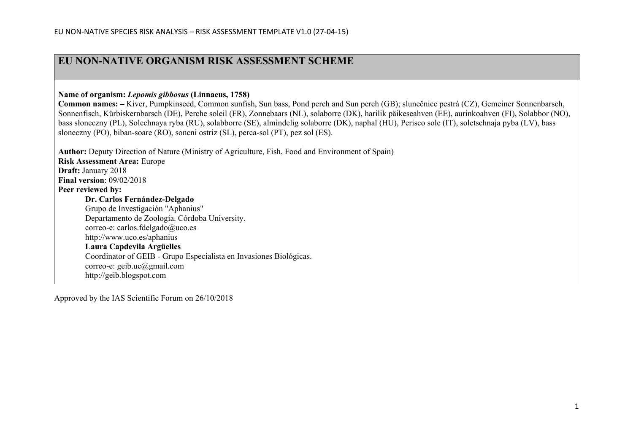## **EU NON-NATIVE ORGANISM RISK ASSESSMENT SCHEME**

**Name of organism:** *Lepomis gibbosus* **(Linnaeus, 1758)** 

**Common names: –** Kiver, Pumpkinseed, Common sunfish, Sun bass, Pond perch and Sun perch (GB); slunečnice pestrá (CZ), Gemeiner Sonnenbarsch, Sonnenfisch, Kürbiskernbarsch (DE), Perche soleil (FR), Zonnebaars (NL), solaborre (DK), harilik päikeseahven (EE), aurinkoahven (FI), Solabbor (NO), bass słoneczny (PL), Solechnaya ryba (RU), solabborre (SE), almindelig solaborre (DK), naphal (HU), Perisco sole (IT), soletschnaja pyba (LV), bass sloneczny (PO), biban-soare (RO), soncni ostriz (SL), perca-sol (PT), pez sol (ES).

**Author:** Deputy Direction of Nature (Ministry of Agriculture, Fish, Food and Environment of Spain) **Risk Assessment Area:** Europe **Draft:** January 2018 **Final version**: 09/02/2018 **Peer reviewed by: Dr. Carlos Fernández-Delgado** Grupo de Investigación "Aphanius" Departamento de Zoología. Córdoba University. correo-e: [carlos.fdelgado@uco.es](https://owa.tragsa.es/owa/redir.aspx?SURL=pZeDZyP9Lc8hpUYaJpj8SAyhhldN5AovYf7XttSCuxD9j85veEPUCG0AYQBpAGwAdABvADoAYwBhAHIAbABvAHMALgBmAGQAZQBsAGcAYQBkAG8AQAB1AGMAbwAuAGUAcwA.&URL=mailto%3acarlos.fdelgado%40uco.es) [http://www.uco.e](https://owa.tragsa.es/owa/redir.aspx?SURL=xisSj01hJizVnC5EcTzdr9Y8VPdwcPlmGyM7tfvptY79j85veEPUCGgAdAB0AHAAOgAvAC8AdwB3AHcALgB1AGMAbwAuAGUAcwAvAGEAcABoAGEAbgBpAHUAcwA.&URL=http%3a%2f%2fwww.uco.es%2faphanius)s/aphanius **Laura Capdevila Argüelles** Coordinator of GEIB - Grupo Especialista en Invasiones Biológicas. correo-e: geib.uc@gmail.com [http://geib.blogspot.com](http://geib.blogspot.com/)

Approved by the IAS Scientific Forum on 26/10/2018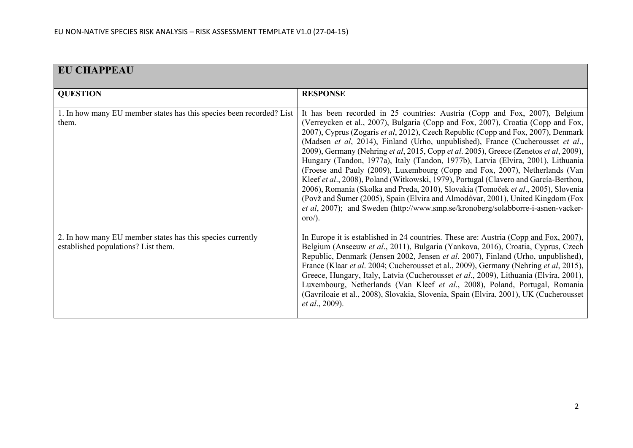| <b>EU CHAPPEAU</b>                                                                                |                                                                                                                                                                                                                                                                                                                                                                                                                                                                                                                                                                                                                                                                                                                                                                                                                                                                                                                                                                                      |
|---------------------------------------------------------------------------------------------------|--------------------------------------------------------------------------------------------------------------------------------------------------------------------------------------------------------------------------------------------------------------------------------------------------------------------------------------------------------------------------------------------------------------------------------------------------------------------------------------------------------------------------------------------------------------------------------------------------------------------------------------------------------------------------------------------------------------------------------------------------------------------------------------------------------------------------------------------------------------------------------------------------------------------------------------------------------------------------------------|
| <b>QUESTION</b>                                                                                   | <b>RESPONSE</b>                                                                                                                                                                                                                                                                                                                                                                                                                                                                                                                                                                                                                                                                                                                                                                                                                                                                                                                                                                      |
| 1. In how many EU member states has this species been recorded? List<br>them.                     | It has been recorded in 25 countries: Austria (Copp and Fox, 2007), Belgium<br>(Verreycken et al., 2007), Bulgaria (Copp and Fox, 2007), Croatia (Copp and Fox,<br>2007), Cyprus (Zogaris et al, 2012), Czech Republic (Copp and Fox, 2007), Denmark<br>(Madsen et al, 2014), Finland (Urho, unpublished), France (Cucherousset et al.,<br>2009), Germany (Nehring et al, 2015, Copp et al. 2005), Greece (Zenetos et al, 2009),<br>Hungary (Tandon, 1977a), Italy (Tandon, 1977b), Latvia (Elvira, 2001), Lithuania<br>(Froese and Pauly (2009), Luxembourg (Copp and Fox, 2007), Netherlands (Van<br>Kleef et al., 2008), Poland (Witkowski, 1979), Portugal (Clavero and García-Berthou,<br>2006), Romania (Skolka and Preda, 2010), Slovakia (Tomoček et al., 2005), Slovenia<br>(Povž and Šumer (2005), Spain (Elvira and Almodóvar, 2001), United Kingdom (Fox<br>et al, 2007); and Sweden (http://www.smp.se/kronoberg/solabborre-i-asnen-vacker-<br>$\alpha$ oro $\alpha$ ). |
| 2. In how many EU member states has this species currently<br>established populations? List them. | In Europe it is established in 24 countries. These are: Austria (Copp and Fox, 2007),<br>Belgium (Anseeuw et al., 2011), Bulgaria (Yankova, 2016), Croatia, Cyprus, Czech<br>Republic, Denmark (Jensen 2002, Jensen et al. 2007), Finland (Urho, unpublished),<br>France (Klaar et al. 2004; Cucherousset et al., 2009), Germany (Nehring et al. 2015),<br>Greece, Hungary, Italy, Latvia (Cucherousset et al., 2009), Lithuania (Elvira, 2001),<br>Luxembourg, Netherlands (Van Kleef et al., 2008), Poland, Portugal, Romania<br>(Gavriloaie et al., 2008), Slovakia, Slovenia, Spain (Elvira, 2001), UK (Cucherousset<br>et al., 2009).                                                                                                                                                                                                                                                                                                                                           |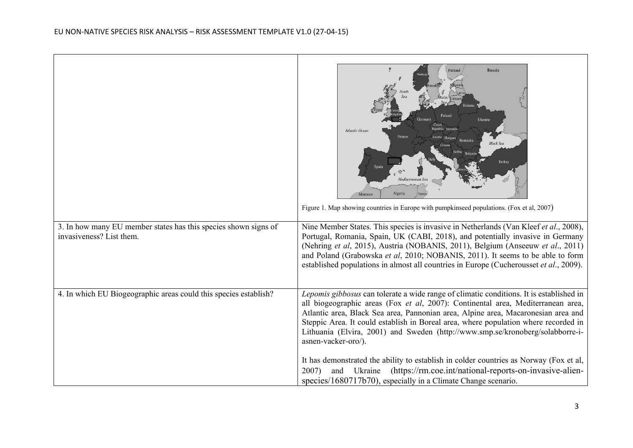|                                                                                             | <b>Russia</b><br>Ukrair<br>Atlantic Ocear<br><b>Black Se</b><br>Algeria<br>Morocco<br>Figure 1. Map showing countries in Europe with pumpkinseed populations. (Fox et al, 2007)                                                                                                                                                                                                                                                                                                                                                                            |
|---------------------------------------------------------------------------------------------|------------------------------------------------------------------------------------------------------------------------------------------------------------------------------------------------------------------------------------------------------------------------------------------------------------------------------------------------------------------------------------------------------------------------------------------------------------------------------------------------------------------------------------------------------------|
| 3. In how many EU member states has this species shown signs of<br>invasiveness? List them. | Nine Member States. This species is invasive in Netherlands (Van Kleef et al., 2008),<br>Portugal, Romania, Spain, UK (CABI, 2018), and potentially invasive in Germany<br>(Nehring et al, 2015), Austria (NOBANIS, 2011), Belgium (Anseeuw et al., 2011)<br>and Poland (Grabowska et al, 2010; NOBANIS, 2011). It seems to be able to form<br>established populations in almost all countries in Europe (Cucherousset et al., 2009).                                                                                                                      |
| 4. In which EU Biogeographic areas could this species establish?                            | Lepomis gibbosus can tolerate a wide range of climatic conditions. It is established in<br>all biogeographic areas (Fox et al, 2007): Continental area, Mediterranean area,<br>Atlantic area, Black Sea area, Pannonian area, Alpine area, Macaronesian area and<br>Steppic Area. It could establish in Boreal area, where population where recorded in<br>Lithuania (Elvira, 2001) and Sweden (http://www.smp.se/kronoberg/solabborre-i-<br>asnen-vacker-oro/).<br>It has demonstrated the ability to establish in colder countries as Norway (Fox et al, |
|                                                                                             | Ukraine<br>(https://rm.coe.int/national-reports-on-invasive-alien-<br>2007)<br>and<br>species/1680717b70), especially in a Climate Change scenario.                                                                                                                                                                                                                                                                                                                                                                                                        |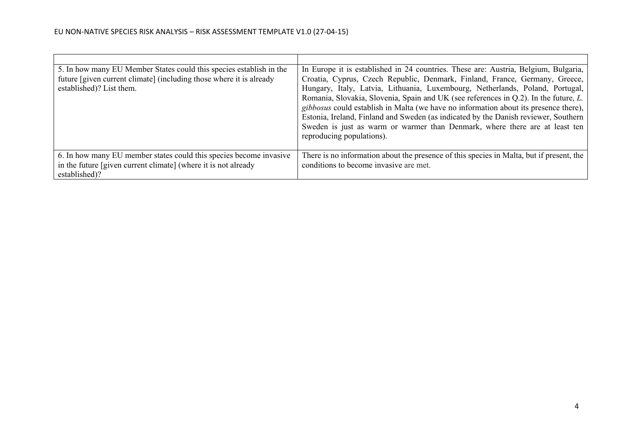| 5. In how many EU Member States could this species establish in the<br>future [given current climate] (including those where it is already<br>established)? List them. | In Europe it is established in 24 countries. These are: Austria, Belgium, Bulgaria,<br>Croatia, Cyprus, Czech Republic, Denmark, Finland, France, Germany, Greece,<br>Hungary, Italy, Latvia, Lithuania, Luxembourg, Netherlands, Poland, Portugal,<br>Romania, Slovakia, Slovenia, Spain and UK (see references in Q.2). In the future, L.<br>gibbosus could establish in Malta (we have no information about its presence there),<br>Estonia, Ireland, Finland and Sweden (as indicated by the Danish reviewer, Southern<br>Sweden is just as warm or warmer than Denmark, where there are at least ten<br>reproducing populations). |
|------------------------------------------------------------------------------------------------------------------------------------------------------------------------|----------------------------------------------------------------------------------------------------------------------------------------------------------------------------------------------------------------------------------------------------------------------------------------------------------------------------------------------------------------------------------------------------------------------------------------------------------------------------------------------------------------------------------------------------------------------------------------------------------------------------------------|
| 6. In how many EU member states could this species become invasive<br>in the future [given current climate] (where it is not already<br>established)?                  | There is no information about the presence of this species in Malta, but if present, the<br>conditions to become invasive are met.                                                                                                                                                                                                                                                                                                                                                                                                                                                                                                     |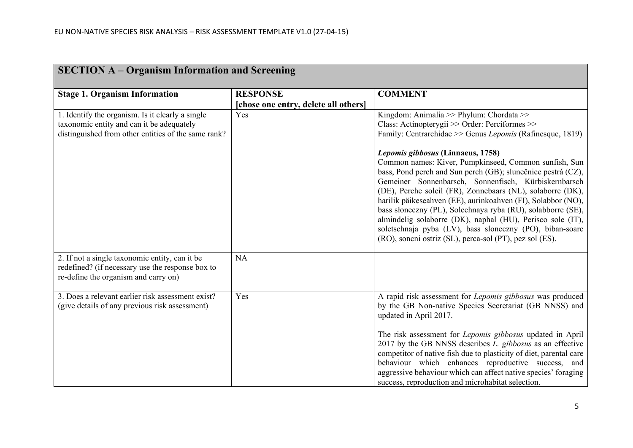| <b>SECTION A – Organism Information and Screening</b>                                                                                                |                                      |                                                                                                                                                                                                                                                                                                                                                                                                                                                                                                                                                                                                                                          |  |
|------------------------------------------------------------------------------------------------------------------------------------------------------|--------------------------------------|------------------------------------------------------------------------------------------------------------------------------------------------------------------------------------------------------------------------------------------------------------------------------------------------------------------------------------------------------------------------------------------------------------------------------------------------------------------------------------------------------------------------------------------------------------------------------------------------------------------------------------------|--|
| <b>Stage 1. Organism Information</b>                                                                                                                 | <b>RESPONSE</b>                      | <b>COMMENT</b>                                                                                                                                                                                                                                                                                                                                                                                                                                                                                                                                                                                                                           |  |
|                                                                                                                                                      | [chose one entry, delete all others] |                                                                                                                                                                                                                                                                                                                                                                                                                                                                                                                                                                                                                                          |  |
| 1. Identify the organism. Is it clearly a single<br>taxonomic entity and can it be adequately<br>distinguished from other entities of the same rank? | Yes                                  | Kingdom: Animalia >> Phylum: Chordata >><br>Class: Actinopterygii >> Order: Perciformes >><br>Family: Centrarchidae >> Genus Lepomis (Rafinesque, 1819)<br>Lepomis gibbosus (Linnaeus, 1758)<br>Common names: Kiver, Pumpkinseed, Common sunfish, Sun<br>bass, Pond perch and Sun perch (GB); slunečnice pestrá (CZ),<br>Gemeiner Sonnenbarsch, Sonnenfisch, Kürbiskernbarsch<br>(DE), Perche soleil (FR), Zonnebaars (NL), solaborre (DK),<br>harilik päikeseahven (EE), aurinkoahven (FI), Solabbor (NO),<br>bass słoneczny (PL), Solechnaya ryba (RU), solabborre (SE),<br>almindelig solaborre (DK), naphal (HU), Perisco sole (IT), |  |
| 2. If not a single taxonomic entity, can it be<br>redefined? (if necessary use the response box to<br>re-define the organism and carry on)           | <b>NA</b>                            | soletschnaja pyba (LV), bass sloneczny (PO), biban-soare<br>(RO), soncni ostriz (SL), perca-sol (PT), pez sol (ES).                                                                                                                                                                                                                                                                                                                                                                                                                                                                                                                      |  |
| 3. Does a relevant earlier risk assessment exist?<br>(give details of any previous risk assessment)                                                  | Yes                                  | A rapid risk assessment for Lepomis gibbosus was produced<br>by the GB Non-native Species Secretariat (GB NNSS) and<br>updated in April 2017.<br>The risk assessment for <i>Lepomis gibbosus</i> updated in April<br>2017 by the GB NNSS describes L. gibbosus as an effective<br>competitor of native fish due to plasticity of diet, parental care<br>behaviour which enhances reproductive success, and<br>aggressive behaviour which can affect native species' foraging<br>success, reproduction and microhabitat selection.                                                                                                        |  |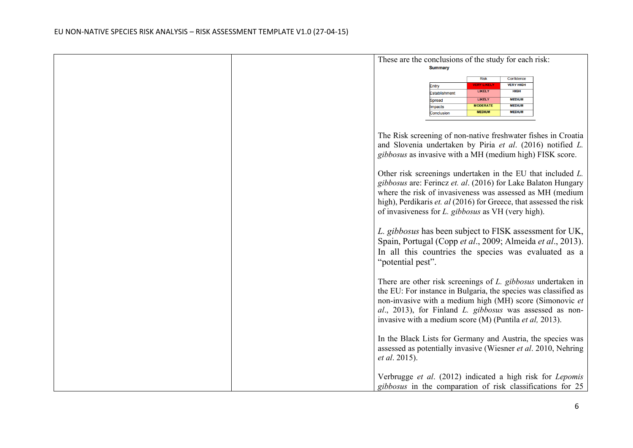| These are the conclusions of the study for each risk:                                                                                                                                                                                                                                                                        |
|------------------------------------------------------------------------------------------------------------------------------------------------------------------------------------------------------------------------------------------------------------------------------------------------------------------------------|
| <b>Summary</b>                                                                                                                                                                                                                                                                                                               |
| Confidence<br><b>Risk</b><br><b>VERY HIGH</b><br><b>VERY LIKELY</b><br>Entry<br><b>LIKELY</b><br><b>HIGH</b><br>Establishment<br><b>MEDIUM</b><br><b>LIKELY</b><br><b>Spread</b><br><b>MEDIUM</b><br><b>MODERATE</b><br>mpacts<br><b>MEDIUM</b><br><b>MEDIUM</b><br>Conclusion                                               |
| The Risk screening of non-native freshwater fishes in Croatia<br>and Slovenia undertaken by Piria et al. (2016) notified L.<br>gibbosus as invasive with a MH (medium high) FISK score.                                                                                                                                      |
| Other risk screenings undertaken in the EU that included L.<br>gibbosus are: Ferincz et. al. (2016) for Lake Balaton Hungary<br>where the risk of invasiveness was assessed as MH (medium<br>high), Perdikaris et. al (2016) for Greece, that assessed the risk<br>of invasiveness for <i>L. gibbosus</i> as VH (very high). |
| L. gibbosus has been subject to FISK assessment for UK,<br>Spain, Portugal (Copp et al., 2009; Almeida et al., 2013).<br>In all this countries the species was evaluated as a<br>"potential pest".                                                                                                                           |
| There are other risk screenings of L. gibbosus undertaken in<br>the EU: For instance in Bulgaria, the species was classified as<br>non-invasive with a medium high (MH) score (Simonovic et<br>al., 2013), for Finland L. gibbosus was assessed as non-<br>invasive with a medium score (M) (Puntila et al, 2013).           |
| In the Black Lists for Germany and Austria, the species was<br>assessed as potentially invasive (Wiesner et al. 2010, Nehring<br><i>et al.</i> 2015).                                                                                                                                                                        |
| Verbrugge et al. (2012) indicated a high risk for Lepomis<br>gibbosus in the comparation of risk classifications for 25                                                                                                                                                                                                      |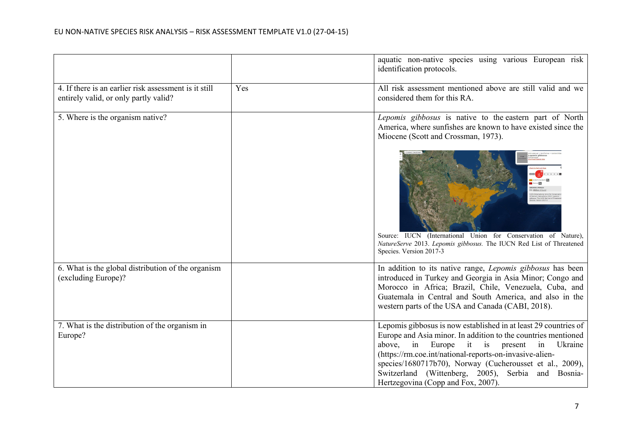|                                                                                                |     | aquatic non-native species using various European risk<br>identification protocols.                                                                                                                                                                                                                                                                                                                                  |
|------------------------------------------------------------------------------------------------|-----|----------------------------------------------------------------------------------------------------------------------------------------------------------------------------------------------------------------------------------------------------------------------------------------------------------------------------------------------------------------------------------------------------------------------|
| 4. If there is an earlier risk assessment is it still<br>entirely valid, or only partly valid? | Yes | All risk assessment mentioned above are still valid and we<br>considered them for this RA.                                                                                                                                                                                                                                                                                                                           |
| 5. Where is the organism native?                                                               |     | Lepomis gibbosus is native to the eastern part of North<br>America, where sunfishes are known to have existed since the<br>Miocene (Scott and Crossman, 1973).                                                                                                                                                                                                                                                       |
|                                                                                                |     | Source: IUCN (International Union for Conservation of Nature),<br>NatureServe 2013. Lepomis gibbosus. The IUCN Red List of Threatened<br>Species. Version 2017-3                                                                                                                                                                                                                                                     |
| 6. What is the global distribution of the organism<br>(excluding Europe)?                      |     | In addition to its native range, Lepomis gibbosus has been<br>introduced in Turkey and Georgia in Asia Minor; Congo and<br>Morocco in Africa; Brazil, Chile, Venezuela, Cuba, and<br>Guatemala in Central and South America, and also in the<br>western parts of the USA and Canada (CABI, 2018).                                                                                                                    |
| 7. What is the distribution of the organism in<br>Europe?                                      |     | Lepomis gibbosus is now established in at least 29 countries of<br>Europe and Asia minor. In addition to the countries mentioned<br>above,<br>in<br>Europe<br>Ukraine<br>$it$ is<br>present<br>in<br>(https://rm.coe.int/national-reports-on-invasive-alien-<br>species/1680717b70), Norway (Cucherousset et al., 2009),<br>Switzerland (Wittenberg, 2005), Serbia and Bosnia-<br>Hertzegovina (Copp and Fox, 2007). |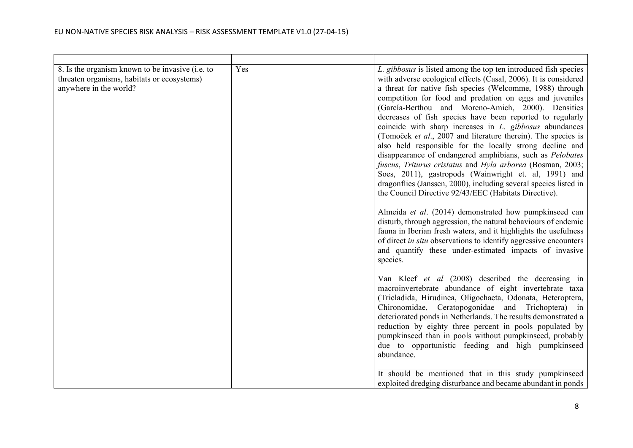| 8. Is the organism known to be invasive (i.e. to<br>threaten organisms, habitats or ecosystems)<br>anywhere in the world? | Yes | L. gibbosus is listed among the top ten introduced fish species<br>with adverse ecological effects (Casal, 2006). It is considered<br>a threat for native fish species (Welcomme, 1988) through<br>competition for food and predation on eggs and juveniles<br>(García-Berthou and Moreno-Amich, 2000). Densities<br>decreases of fish species have been reported to regularly<br>coincide with sharp increases in <i>L. gibbosus</i> abundances<br>(Tomoček et al., 2007 and literature therein). The species is<br>also held responsible for the locally strong decline and<br>disappearance of endangered amphibians, such as Pelobates<br>fuscus, Triturus cristatus and Hyla arborea (Bosman, 2003;<br>Soes, 2011), gastropods (Wainwright et. al, 1991) and<br>dragonflies (Janssen, 2000), including several species listed in<br>the Council Directive 92/43/EEC (Habitats Directive).<br>Almeida et al. (2014) demonstrated how pumpkinseed can<br>disturb, through aggression, the natural behaviours of endemic<br>fauna in Iberian fresh waters, and it highlights the usefulness<br>of direct in situ observations to identify aggressive encounters<br>and quantify these under-estimated impacts of invasive<br>species. |
|---------------------------------------------------------------------------------------------------------------------------|-----|-----------------------------------------------------------------------------------------------------------------------------------------------------------------------------------------------------------------------------------------------------------------------------------------------------------------------------------------------------------------------------------------------------------------------------------------------------------------------------------------------------------------------------------------------------------------------------------------------------------------------------------------------------------------------------------------------------------------------------------------------------------------------------------------------------------------------------------------------------------------------------------------------------------------------------------------------------------------------------------------------------------------------------------------------------------------------------------------------------------------------------------------------------------------------------------------------------------------------------------------|
|                                                                                                                           |     | Van Kleef et al (2008) described the decreasing in<br>macroinvertebrate abundance of eight invertebrate taxa<br>(Tricladida, Hirudinea, Oligochaeta, Odonata, Heteroptera,<br>Chironomidae, Ceratopogonidae and Trichoptera) in<br>deteriorated ponds in Netherlands. The results demonstrated a<br>reduction by eighty three percent in pools populated by<br>pumpkinseed than in pools without pumpkinseed, probably<br>due to opportunistic feeding and high pumpkinseed<br>abundance.<br>It should be mentioned that in this study pumpkinseed<br>exploited dredging disturbance and became abundant in ponds                                                                                                                                                                                                                                                                                                                                                                                                                                                                                                                                                                                                                       |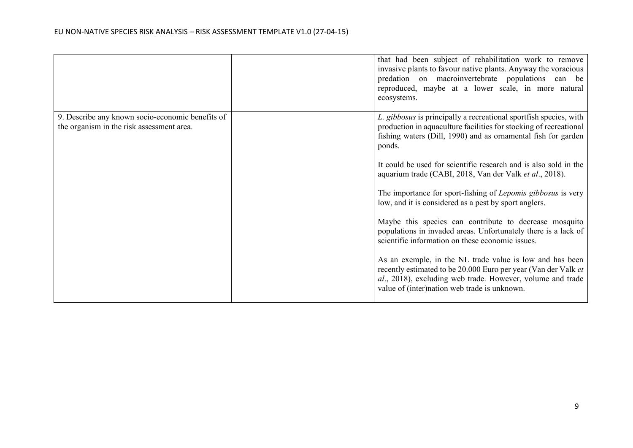|                                                  | that had been subject of rehabilitation work to remove<br>invasive plants to favour native plants. Anyway the voracious<br>predation on macroinvertebrate populations can be<br>reproduced, maybe at a lower scale, in more natural<br>ecosystems. |
|--------------------------------------------------|----------------------------------------------------------------------------------------------------------------------------------------------------------------------------------------------------------------------------------------------------|
| 9. Describe any known socio-economic benefits of | L. gibbosus is principally a recreational sportfish species, with                                                                                                                                                                                  |
| the organism in the risk assessment area.        | production in aquaculture facilities for stocking of recreational                                                                                                                                                                                  |
|                                                  | fishing waters (Dill, 1990) and as ornamental fish for garden<br>ponds.                                                                                                                                                                            |
|                                                  | It could be used for scientific research and is also sold in the<br>aquarium trade (CABI, 2018, Van der Valk et al., 2018).                                                                                                                        |
|                                                  | The importance for sport-fishing of Lepomis gibbosus is very<br>low, and it is considered as a pest by sport anglers.                                                                                                                              |
|                                                  | Maybe this species can contribute to decrease mosquito<br>populations in invaded areas. Unfortunately there is a lack of<br>scientific information on these economic issues.                                                                       |
|                                                  | As an exemple, in the NL trade value is low and has been<br>recently estimated to be 20.000 Euro per year (Van der Valk et<br>al., 2018), excluding web trade. However, volume and trade<br>value of (inter)nation web trade is unknown.           |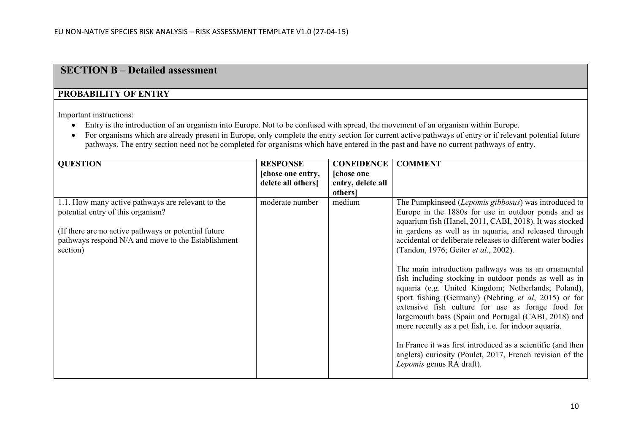## **SECTION B – Detailed assessment**

## **PROBABILITY OF ENTRY**

Important instructions:

- Entry is the introduction of an organism into Europe. Not to be confused with spread, the movement of an organism within Europe.
- For organisms which are already present in Europe, only complete the entry section for current active pathways of entry or if relevant potential future pathways. The entry section need not be completed for organisms which have entered in the past and have no current pathways of entry.

| <b>QUESTION</b>                                      | <b>RESPONSE</b>   | <b>CONFIDENCE</b> | <b>COMMENT</b>                                              |
|------------------------------------------------------|-------------------|-------------------|-------------------------------------------------------------|
|                                                      | [chose one entry, | <b>chose</b> one  |                                                             |
|                                                      | delete all others | entry, delete all |                                                             |
|                                                      |                   | others]           |                                                             |
| 1.1. How many active pathways are relevant to the    | moderate number   | medium            | The Pumpkinseed (Lepomis gibbosus) was introduced to        |
| potential entry of this organism?                    |                   |                   | Europe in the 1880s for use in outdoor ponds and as         |
|                                                      |                   |                   | aquarium fish (Hanel, 2011, CABI, 2018). It was stocked     |
| (If there are no active pathways or potential future |                   |                   | in gardens as well as in aquaria, and released through      |
| pathways respond N/A and move to the Establishment   |                   |                   | accidental or deliberate releases to different water bodies |
| section)                                             |                   |                   | (Tandon, 1976; Geiter et al., 2002).                        |
|                                                      |                   |                   |                                                             |
|                                                      |                   |                   | The main introduction pathways was as an ornamental         |
|                                                      |                   |                   | fish including stocking in outdoor ponds as well as in      |
|                                                      |                   |                   | aquaria (e.g. United Kingdom; Netherlands; Poland),         |
|                                                      |                   |                   | sport fishing (Germany) (Nehring et al, 2015) or for        |
|                                                      |                   |                   | extensive fish culture for use as forage food for           |
|                                                      |                   |                   | largemouth bass (Spain and Portugal (CABI, 2018) and        |
|                                                      |                   |                   | more recently as a pet fish, i.e. for indoor aquaria.       |
|                                                      |                   |                   |                                                             |
|                                                      |                   |                   | In France it was first introduced as a scientific (and then |
|                                                      |                   |                   | anglers) curiosity (Poulet, 2017, French revision of the    |
|                                                      |                   |                   | Lepomis genus RA draft).                                    |
|                                                      |                   |                   |                                                             |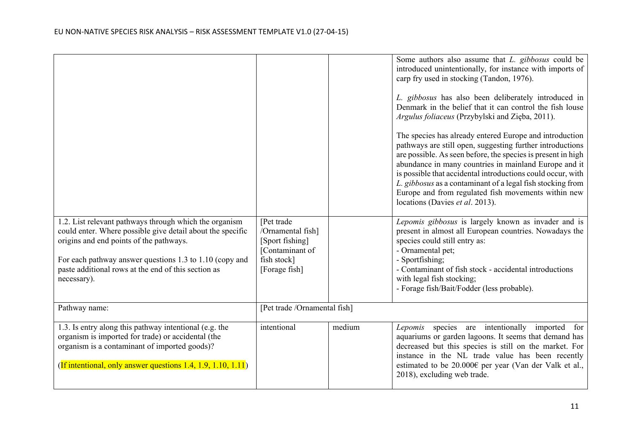|                                                                                                                      |                                  |        | Some authors also assume that L. gibbosus could be<br>introduced unintentionally, for instance with imports of<br>carp fry used in stocking (Tandon, 1976).<br>L. gibbosus has also been deliberately introduced in<br>Denmark in the belief that it can control the fish louse<br>Argulus foliaceus (Przybylski and Zięba, 2011).<br>The species has already entered Europe and introduction<br>pathways are still open, suggesting further introductions<br>are possible. As seen before, the species is present in high<br>abundance in many countries in mainland Europe and it<br>is possible that accidental introductions could occur, with<br>L. gibbosus as a contaminant of a legal fish stocking from<br>Europe and from regulated fish movements within new<br>locations (Davies et al. 2013). |
|----------------------------------------------------------------------------------------------------------------------|----------------------------------|--------|------------------------------------------------------------------------------------------------------------------------------------------------------------------------------------------------------------------------------------------------------------------------------------------------------------------------------------------------------------------------------------------------------------------------------------------------------------------------------------------------------------------------------------------------------------------------------------------------------------------------------------------------------------------------------------------------------------------------------------------------------------------------------------------------------------|
| 1.2. List relevant pathways through which the organism<br>could enter. Where possible give detail about the specific | [Pet trade]<br>/Ornamental fish] |        | Lepomis gibbosus is largely known as invader and is<br>present in almost all European countries. Nowadays the                                                                                                                                                                                                                                                                                                                                                                                                                                                                                                                                                                                                                                                                                              |
| origins and end points of the pathways.                                                                              | [Sport fishing]                  |        | species could still entry as:                                                                                                                                                                                                                                                                                                                                                                                                                                                                                                                                                                                                                                                                                                                                                                              |
| For each pathway answer questions 1.3 to 1.10 (copy and                                                              | [Contaminant of<br>fish stock]   |        | - Ornamental pet;<br>- Sportfishing;                                                                                                                                                                                                                                                                                                                                                                                                                                                                                                                                                                                                                                                                                                                                                                       |
| paste additional rows at the end of this section as                                                                  | [Forage fish]                    |        | - Contaminant of fish stock - accidental introductions                                                                                                                                                                                                                                                                                                                                                                                                                                                                                                                                                                                                                                                                                                                                                     |
| necessary).                                                                                                          |                                  |        | with legal fish stocking;                                                                                                                                                                                                                                                                                                                                                                                                                                                                                                                                                                                                                                                                                                                                                                                  |
|                                                                                                                      |                                  |        | - Forage fish/Bait/Fodder (less probable).                                                                                                                                                                                                                                                                                                                                                                                                                                                                                                                                                                                                                                                                                                                                                                 |
| Pathway name:                                                                                                        | [Pet trade /Ornamental fish]     |        |                                                                                                                                                                                                                                                                                                                                                                                                                                                                                                                                                                                                                                                                                                                                                                                                            |
| 1.3. Is entry along this pathway intentional (e.g. the                                                               | intentional                      | medium | Lepomis species are intentionally imported for                                                                                                                                                                                                                                                                                                                                                                                                                                                                                                                                                                                                                                                                                                                                                             |
| organism is imported for trade) or accidental (the                                                                   |                                  |        | aquariums or garden lagoons. It seems that demand has                                                                                                                                                                                                                                                                                                                                                                                                                                                                                                                                                                                                                                                                                                                                                      |
| organism is a contaminant of imported goods)?                                                                        |                                  |        | decreased but this species is still on the market. For<br>instance in the NL trade value has been recently                                                                                                                                                                                                                                                                                                                                                                                                                                                                                                                                                                                                                                                                                                 |
| (If intentional, only answer questions 1.4, 1.9, 1.10, 1.11)                                                         |                                  |        | estimated to be 20.000€ per year (Van der Valk et al.,<br>2018), excluding web trade.                                                                                                                                                                                                                                                                                                                                                                                                                                                                                                                                                                                                                                                                                                                      |
|                                                                                                                      |                                  |        |                                                                                                                                                                                                                                                                                                                                                                                                                                                                                                                                                                                                                                                                                                                                                                                                            |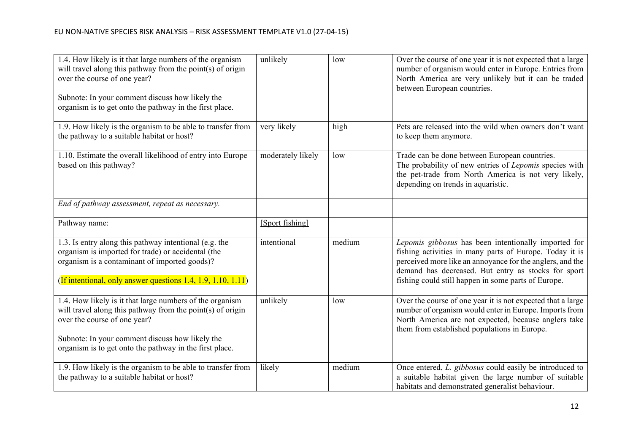| 1.4. How likely is it that large numbers of the organism<br>will travel along this pathway from the point(s) of origin<br>over the course of one year?<br>Subnote: In your comment discuss how likely the<br>organism is to get onto the pathway in the first place. | unlikely          | low    | Over the course of one year it is not expected that a large<br>number of organism would enter in Europe. Entries from<br>North America are very unlikely but it can be traded<br>between European countries.                                                                               |
|----------------------------------------------------------------------------------------------------------------------------------------------------------------------------------------------------------------------------------------------------------------------|-------------------|--------|--------------------------------------------------------------------------------------------------------------------------------------------------------------------------------------------------------------------------------------------------------------------------------------------|
| 1.9. How likely is the organism to be able to transfer from<br>the pathway to a suitable habitat or host?                                                                                                                                                            | very likely       | high   | Pets are released into the wild when owners don't want<br>to keep them anymore.                                                                                                                                                                                                            |
| 1.10. Estimate the overall likelihood of entry into Europe<br>based on this pathway?                                                                                                                                                                                 | moderately likely | low    | Trade can be done between European countries.<br>The probability of new entries of Lepomis species with<br>the pet-trade from North America is not very likely,<br>depending on trends in aquaristic.                                                                                      |
| End of pathway assessment, repeat as necessary.                                                                                                                                                                                                                      |                   |        |                                                                                                                                                                                                                                                                                            |
| Pathway name:                                                                                                                                                                                                                                                        | [Sport fishing]   |        |                                                                                                                                                                                                                                                                                            |
| 1.3. Is entry along this pathway intentional (e.g. the<br>organism is imported for trade) or accidental (the<br>organism is a contaminant of imported goods)?<br>(If intentional, only answer questions 1.4, 1.9, 1.10, 1.11)                                        | intentional       | medium | Lepomis gibbosus has been intentionally imported for<br>fishing activities in many parts of Europe. Today it is<br>perceived more like an annoyance for the anglers, and the<br>demand has decreased. But entry as stocks for sport<br>fishing could still happen in some parts of Europe. |
| 1.4. How likely is it that large numbers of the organism<br>will travel along this pathway from the point(s) of origin<br>over the course of one year?<br>Subnote: In your comment discuss how likely the<br>organism is to get onto the pathway in the first place. | unlikely          | low    | Over the course of one year it is not expected that a large<br>number of organism would enter in Europe. Imports from<br>North America are not expected, because anglers take<br>them from established populations in Europe.                                                              |
| 1.9. How likely is the organism to be able to transfer from<br>the pathway to a suitable habitat or host?                                                                                                                                                            | likely            | medium | Once entered, L. gibbosus could easily be introduced to<br>a suitable habitat given the large number of suitable<br>habitats and demonstrated generalist behaviour.                                                                                                                        |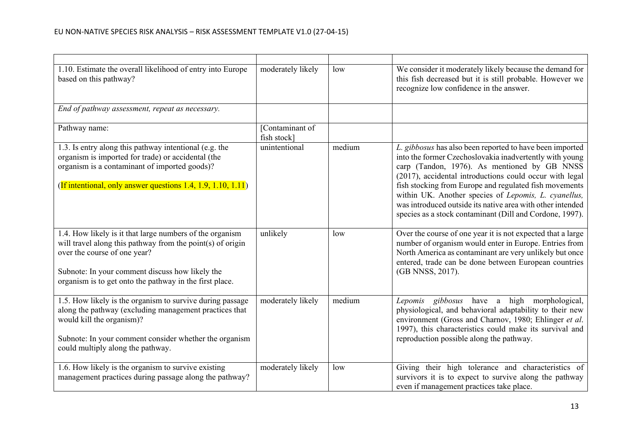| 1.10. Estimate the overall likelihood of entry into Europe<br>based on this pathway?                                                                                                                                                                                 | moderately likely              | low    | We consider it moderately likely because the demand for<br>this fish decreased but it is still probable. However we<br>recognize low confidence in the answer.                                                                                                                                                                                                                                                                                                             |
|----------------------------------------------------------------------------------------------------------------------------------------------------------------------------------------------------------------------------------------------------------------------|--------------------------------|--------|----------------------------------------------------------------------------------------------------------------------------------------------------------------------------------------------------------------------------------------------------------------------------------------------------------------------------------------------------------------------------------------------------------------------------------------------------------------------------|
| End of pathway assessment, repeat as necessary.                                                                                                                                                                                                                      |                                |        |                                                                                                                                                                                                                                                                                                                                                                                                                                                                            |
| Pathway name:                                                                                                                                                                                                                                                        | [Contaminant of<br>fish stock] |        |                                                                                                                                                                                                                                                                                                                                                                                                                                                                            |
| 1.3. Is entry along this pathway intentional (e.g. the<br>organism is imported for trade) or accidental (the<br>organism is a contaminant of imported goods)?<br>(If intentional, only answer questions 1.4, 1.9, 1.10, 1.11)                                        | unintentional                  | medium | L. gibbosus has also been reported to have been imported<br>into the former Czechoslovakia inadvertently with young<br>carp (Tandon, 1976). As mentioned by GB NNSS<br>(2017), accidental introductions could occur with legal<br>fish stocking from Europe and regulated fish movements<br>within UK. Another species of Lepomis, L. cyanellus,<br>was introduced outside its native area with other intended<br>species as a stock contaminant (Dill and Cordone, 1997). |
| 1.4. How likely is it that large numbers of the organism<br>will travel along this pathway from the point(s) of origin<br>over the course of one year?<br>Subnote: In your comment discuss how likely the<br>organism is to get onto the pathway in the first place. | unlikely                       | low    | Over the course of one year it is not expected that a large<br>number of organism would enter in Europe. Entries from<br>North America as contaminant are very unlikely but once<br>entered, trade can be done between European countries<br>(GB NNSS, 2017).                                                                                                                                                                                                              |
| 1.5. How likely is the organism to survive during passage<br>along the pathway (excluding management practices that<br>would kill the organism)?<br>Subnote: In your comment consider whether the organism<br>could multiply along the pathway.                      | moderately likely              | medium | Lepomis gibbosus have a high morphological,<br>physiological, and behavioral adaptability to their new<br>environment (Gross and Charnov, 1980; Ehlinger et al.<br>1997), this characteristics could make its survival and<br>reproduction possible along the pathway.                                                                                                                                                                                                     |
| 1.6. How likely is the organism to survive existing<br>management practices during passage along the pathway?                                                                                                                                                        | moderately likely              | low    | Giving their high tolerance and characteristics of<br>survivors it is to expect to survive along the pathway<br>even if management practices take place.                                                                                                                                                                                                                                                                                                                   |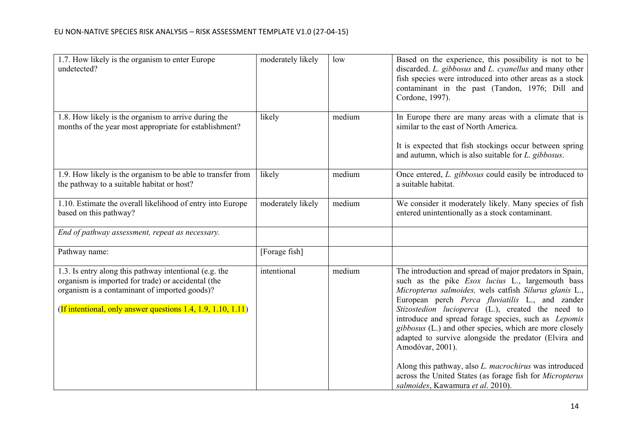| 1.7. How likely is the organism to enter Europe<br>undetected?                                                                                                                                                                | moderately likely | low    | Based on the experience, this possibility is not to be<br>discarded. L. gibbosus and L. cyanellus and many other<br>fish species were introduced into other areas as a stock<br>contaminant in the past (Tandon, 1976; Dill and<br>Cordone, 1997).                                                                                                                                                                                                                                                                                                                                                          |
|-------------------------------------------------------------------------------------------------------------------------------------------------------------------------------------------------------------------------------|-------------------|--------|-------------------------------------------------------------------------------------------------------------------------------------------------------------------------------------------------------------------------------------------------------------------------------------------------------------------------------------------------------------------------------------------------------------------------------------------------------------------------------------------------------------------------------------------------------------------------------------------------------------|
| 1.8. How likely is the organism to arrive during the<br>months of the year most appropriate for establishment?                                                                                                                | likely            | medium | In Europe there are many areas with a climate that is<br>similar to the east of North America.<br>It is expected that fish stockings occur between spring<br>and autumn, which is also suitable for L. gibbosus.                                                                                                                                                                                                                                                                                                                                                                                            |
| 1.9. How likely is the organism to be able to transfer from<br>the pathway to a suitable habitat or host?                                                                                                                     | likely            | medium | Once entered, L. gibbosus could easily be introduced to<br>a suitable habitat.                                                                                                                                                                                                                                                                                                                                                                                                                                                                                                                              |
| 1.10. Estimate the overall likelihood of entry into Europe<br>based on this pathway?                                                                                                                                          | moderately likely | medium | We consider it moderately likely. Many species of fish<br>entered unintentionally as a stock contaminant.                                                                                                                                                                                                                                                                                                                                                                                                                                                                                                   |
| End of pathway assessment, repeat as necessary.                                                                                                                                                                               |                   |        |                                                                                                                                                                                                                                                                                                                                                                                                                                                                                                                                                                                                             |
| Pathway name:                                                                                                                                                                                                                 | [Forage fish]     |        |                                                                                                                                                                                                                                                                                                                                                                                                                                                                                                                                                                                                             |
| 1.3. Is entry along this pathway intentional (e.g. the<br>organism is imported for trade) or accidental (the<br>organism is a contaminant of imported goods)?<br>(If intentional, only answer questions 1.4, 1.9, 1.10, 1.11) | intentional       | medium | The introduction and spread of major predators in Spain,<br>such as the pike <i>Esox lucius</i> L., largemouth bass<br>Micropterus salmoides, wels catfish Silurus glanis L.,<br>European perch Perca fluviatilis L., and zander<br>Stizostedion lucioperca (L.), created the need to<br>introduce and spread forage species, such as Lepomis<br>gibbosus (L.) and other species, which are more closely<br>adapted to survive alongside the predator (Elvira and<br>Amodóvar, 2001).<br>Along this pathway, also L. macrochirus was introduced<br>across the United States (as forage fish for Micropterus |
|                                                                                                                                                                                                                               |                   |        | salmoides, Kawamura et al. 2010).                                                                                                                                                                                                                                                                                                                                                                                                                                                                                                                                                                           |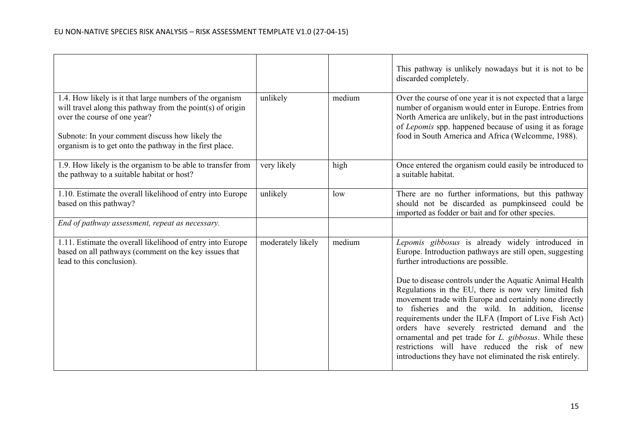|                                                                                                                                                                                                                                                                      |                   |        | This pathway is unlikely nowadays but it is not to be<br>discarded completely.                                                                                                                                                                                                                                                                                                                                                                                                                                                                           |
|----------------------------------------------------------------------------------------------------------------------------------------------------------------------------------------------------------------------------------------------------------------------|-------------------|--------|----------------------------------------------------------------------------------------------------------------------------------------------------------------------------------------------------------------------------------------------------------------------------------------------------------------------------------------------------------------------------------------------------------------------------------------------------------------------------------------------------------------------------------------------------------|
| 1.4. How likely is it that large numbers of the organism<br>will travel along this pathway from the point(s) of origin<br>over the course of one year?<br>Subnote: In your comment discuss how likely the<br>organism is to get onto the pathway in the first place. | unlikely          | medium | Over the course of one year it is not expected that a large<br>number of organism would enter in Europe. Entries from<br>North America are unlikely, but in the past introductions<br>of Lepomis spp. happened because of using it as forage<br>food in South America and Africa (Welcomme, 1988).                                                                                                                                                                                                                                                       |
| 1.9. How likely is the organism to be able to transfer from<br>the pathway to a suitable habitat or host?                                                                                                                                                            | very likely       | high   | Once entered the organism could easily be introduced to<br>a suitable habitat.                                                                                                                                                                                                                                                                                                                                                                                                                                                                           |
| 1.10. Estimate the overall likelihood of entry into Europe<br>based on this pathway?                                                                                                                                                                                 | unlikely          | low    | There are no further informations, but this pathway<br>should not be discarded as pumpkinseed could be<br>imported as fodder or bait and for other species.                                                                                                                                                                                                                                                                                                                                                                                              |
| End of pathway assessment, repeat as necessary.                                                                                                                                                                                                                      |                   |        |                                                                                                                                                                                                                                                                                                                                                                                                                                                                                                                                                          |
| 1.11. Estimate the overall likelihood of entry into Europe<br>based on all pathways (comment on the key issues that<br>lead to this conclusion).                                                                                                                     | moderately likely | medium | Lepomis gibbosus is already widely introduced in<br>Europe. Introduction pathways are still open, suggesting<br>further introductions are possible.<br>Due to disease controls under the Aquatic Animal Health<br>Regulations in the EU, there is now very limited fish<br>movement trade with Europe and certainly none directly<br>to fisheries and the wild. In addition, license<br>requirements under the ILFA (Import of Live Fish Act)<br>orders have severely restricted demand and the<br>ornamental and pet trade for L. gibbosus. While these |
|                                                                                                                                                                                                                                                                      |                   |        | restrictions will have reduced the risk of new<br>introductions they have not eliminated the risk entirely.                                                                                                                                                                                                                                                                                                                                                                                                                                              |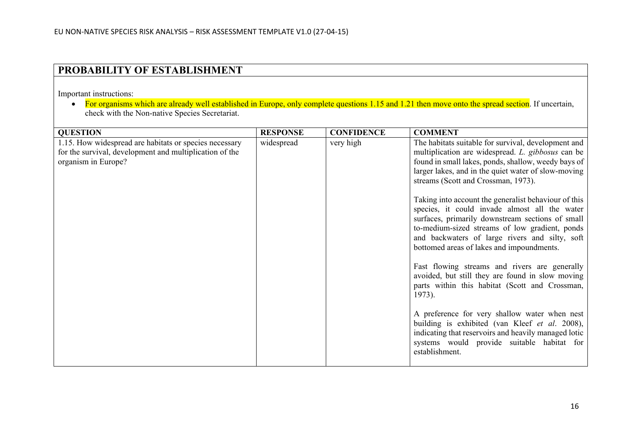# **PROBABILITY OF ESTABLISHMENT**

Important instructions:

• For organisms which are already well established in Europe, only complete questions 1.15 and 1.21 then move onto the spread section. If uncertain, check with the Non-native Species Secretariat.

| <b>QUESTION</b>                                         | <b>RESPONSE</b> | <b>CONFIDENCE</b> | <b>COMMENT</b>                                                                                                                                                                                                                                                                                             |
|---------------------------------------------------------|-----------------|-------------------|------------------------------------------------------------------------------------------------------------------------------------------------------------------------------------------------------------------------------------------------------------------------------------------------------------|
| 1.15. How widespread are habitats or species necessary  | widespread      | very high         | The habitats suitable for survival, development and                                                                                                                                                                                                                                                        |
| for the survival, development and multiplication of the |                 |                   | multiplication are widespread. L. gibbosus can be                                                                                                                                                                                                                                                          |
| organism in Europe?                                     |                 |                   | found in small lakes, ponds, shallow, weedy bays of                                                                                                                                                                                                                                                        |
|                                                         |                 |                   | larger lakes, and in the quiet water of slow-moving                                                                                                                                                                                                                                                        |
|                                                         |                 |                   | streams (Scott and Crossman, 1973).                                                                                                                                                                                                                                                                        |
|                                                         |                 |                   | Taking into account the generalist behaviour of this<br>species, it could invade almost all the water<br>surfaces, primarily downstream sections of small<br>to-medium-sized streams of low gradient, ponds<br>and backwaters of large rivers and silty, soft<br>bottomed areas of lakes and impoundments. |
|                                                         |                 |                   | Fast flowing streams and rivers are generally<br>avoided, but still they are found in slow moving<br>parts within this habitat (Scott and Crossman,<br>1973).                                                                                                                                              |
|                                                         |                 |                   | A preference for very shallow water when nest<br>building is exhibited (van Kleef et al. 2008),<br>indicating that reservoirs and heavily managed lotic<br>systems would provide suitable habitat for<br>establishment.                                                                                    |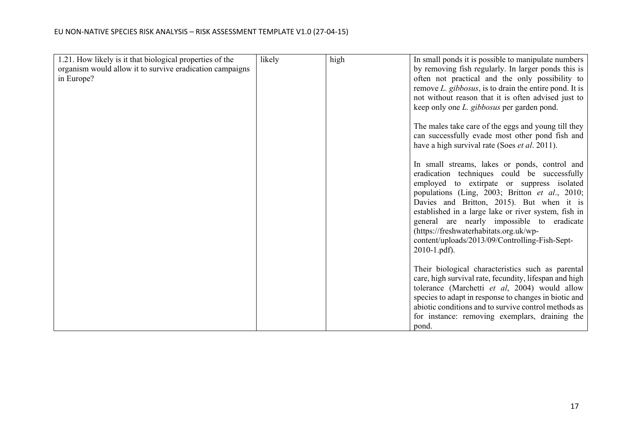| 1.21. How likely is it that biological properties of the | likely | high | In small ponds it is possible to manipulate numbers    |
|----------------------------------------------------------|--------|------|--------------------------------------------------------|
| organism would allow it to survive eradication campaigns |        |      | by removing fish regularly. In larger ponds this is    |
| in Europe?                                               |        |      | often not practical and the only possibility to        |
|                                                          |        |      | remove L. gibbosus, is to drain the entire pond. It is |
|                                                          |        |      | not without reason that it is often advised just to    |
|                                                          |        |      | keep only one <i>L. gibbosus</i> per garden pond.      |
|                                                          |        |      |                                                        |
|                                                          |        |      | The males take care of the eggs and young till they    |
|                                                          |        |      | can successfully evade most other pond fish and        |
|                                                          |        |      | have a high survival rate (Soes <i>et al.</i> 2011).   |
|                                                          |        |      | In small streams, lakes or ponds, control and          |
|                                                          |        |      | eradication techniques could be successfully           |
|                                                          |        |      | employed to extirpate or suppress isolated             |
|                                                          |        |      | populations (Ling, 2003; Britton et al., 2010;         |
|                                                          |        |      | Davies and Britton, 2015). But when it is              |
|                                                          |        |      | established in a large lake or river system, fish in   |
|                                                          |        |      | general are nearly impossible to eradicate             |
|                                                          |        |      | (https://freshwaterhabitats.org.uk/wp-                 |
|                                                          |        |      | content/uploads/2013/09/Controlling-Fish-Sept-         |
|                                                          |        |      | $2010 - 1$ .pdf).                                      |
|                                                          |        |      |                                                        |
|                                                          |        |      | Their biological characteristics such as parental      |
|                                                          |        |      | care, high survival rate, fecundity, lifespan and high |
|                                                          |        |      | tolerance (Marchetti et al, 2004) would allow          |
|                                                          |        |      | species to adapt in response to changes in biotic and  |
|                                                          |        |      | abiotic conditions and to survive control methods as   |
|                                                          |        |      | for instance: removing exemplars, draining the         |
|                                                          |        |      | pond.                                                  |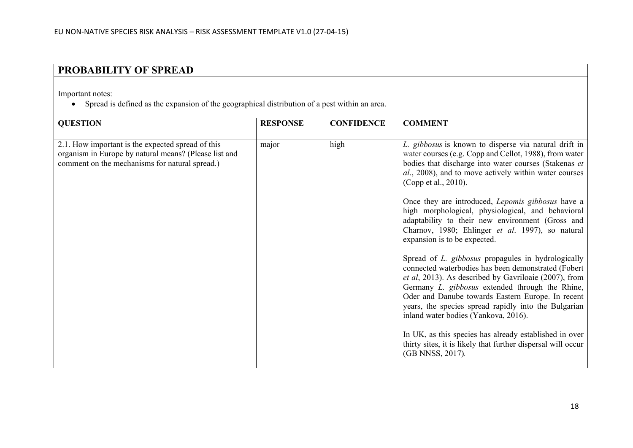# **PROBABILITY OF SPREAD**

Important notes:

• Spread is defined as the expansion of the geographical distribution of a pest within an area.

| <b>QUESTION</b>                                                                                                                                              | <b>RESPONSE</b> | <b>CONFIDENCE</b> | <b>COMMENT</b>                                                                                                                                                                                                                                                                                                                                                             |
|--------------------------------------------------------------------------------------------------------------------------------------------------------------|-----------------|-------------------|----------------------------------------------------------------------------------------------------------------------------------------------------------------------------------------------------------------------------------------------------------------------------------------------------------------------------------------------------------------------------|
| 2.1. How important is the expected spread of this<br>organism in Europe by natural means? (Please list and<br>comment on the mechanisms for natural spread.) | major           | high              | L. gibbosus is known to disperse via natural drift in<br>water courses (e.g. Copp and Cellot, 1988), from water<br>bodies that discharge into water courses (Stakenas et<br>al., 2008), and to move actively within water courses<br>(Copp et al., 2010).                                                                                                                  |
|                                                                                                                                                              |                 |                   | Once they are introduced, <i>Lepomis gibbosus</i> have a<br>high morphological, physiological, and behavioral<br>adaptability to their new environment (Gross and<br>Charnov, 1980; Ehlinger et al. 1997), so natural<br>expansion is to be expected.                                                                                                                      |
|                                                                                                                                                              |                 |                   | Spread of L. gibbosus propagules in hydrologically<br>connected waterbodies has been demonstrated (Fobert<br>et al, 2013). As described by Gavriloaie (2007), from<br>Germany L. gibbosus extended through the Rhine,<br>Oder and Danube towards Eastern Europe. In recent<br>years, the species spread rapidly into the Bulgarian<br>inland water bodies (Yankova, 2016). |
|                                                                                                                                                              |                 |                   | In UK, as this species has already established in over<br>thirty sites, it is likely that further dispersal will occur<br>(GB NNSS, 2017).                                                                                                                                                                                                                                 |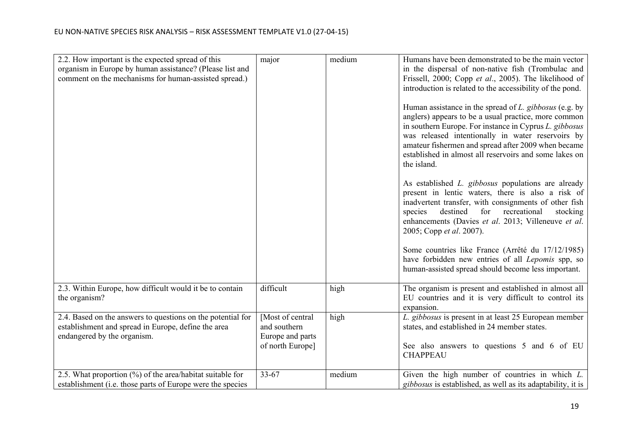| 2.2. How important is the expected spread of this                         | major            | medium | Humans have been demonstrated to be the main vector                                                                                                                                                                                                                                                                                                           |
|---------------------------------------------------------------------------|------------------|--------|---------------------------------------------------------------------------------------------------------------------------------------------------------------------------------------------------------------------------------------------------------------------------------------------------------------------------------------------------------------|
| organism in Europe by human assistance? (Please list and                  |                  |        | in the dispersal of non-native fish (Trombulac and                                                                                                                                                                                                                                                                                                            |
|                                                                           |                  |        |                                                                                                                                                                                                                                                                                                                                                               |
| comment on the mechanisms for human-assisted spread.)                     |                  |        | Frissell, 2000; Copp et al., 2005). The likelihood of                                                                                                                                                                                                                                                                                                         |
|                                                                           |                  |        | introduction is related to the accessibility of the pond.                                                                                                                                                                                                                                                                                                     |
|                                                                           |                  |        | Human assistance in the spread of L. gibbosus (e.g. by<br>anglers) appears to be a usual practice, more common<br>in southern Europe. For instance in Cyprus L. gibbosus<br>was released intentionally in water reservoirs by<br>amateur fishermen and spread after 2009 when became<br>established in almost all reservoirs and some lakes on<br>the island. |
|                                                                           |                  |        | As established L. gibbosus populations are already<br>present in lentic waters, there is also a risk of<br>inadvertent transfer, with consignments of other fish<br>destined<br>for<br>recreational<br>stocking<br>species<br>enhancements (Davies et al. 2013; Villeneuve et al.<br>2005; Copp et al. 2007).                                                 |
|                                                                           |                  |        | Some countries like France (Arrêté du 17/12/1985)<br>have forbidden new entries of all Lepomis spp, so<br>human-assisted spread should become less important.                                                                                                                                                                                                 |
| 2.3. Within Europe, how difficult would it be to contain<br>the organism? | difficult        | high   | The organism is present and established in almost all<br>EU countries and it is very difficult to control its<br>expansion.                                                                                                                                                                                                                                   |
| 2.4. Based on the answers to questions on the potential for               | [Most of central | high   | L. gibbosus is present in at least 25 European member                                                                                                                                                                                                                                                                                                         |
| establishment and spread in Europe, define the area                       | and southern     |        | states, and established in 24 member states.                                                                                                                                                                                                                                                                                                                  |
| endangered by the organism.                                               | Europe and parts |        |                                                                                                                                                                                                                                                                                                                                                               |
|                                                                           | of north Europe] |        | See also answers to questions 5 and 6 of EU<br><b>CHAPPEAU</b>                                                                                                                                                                                                                                                                                                |
| 2.5. What proportion $(\%)$ of the area/habitat suitable for              | 33-67            | medium | Given the high number of countries in which $L$ .                                                                                                                                                                                                                                                                                                             |
| establishment (i.e. those parts of Europe were the species                |                  |        | <i>gibbosus</i> is established, as well as its adaptability, it is                                                                                                                                                                                                                                                                                            |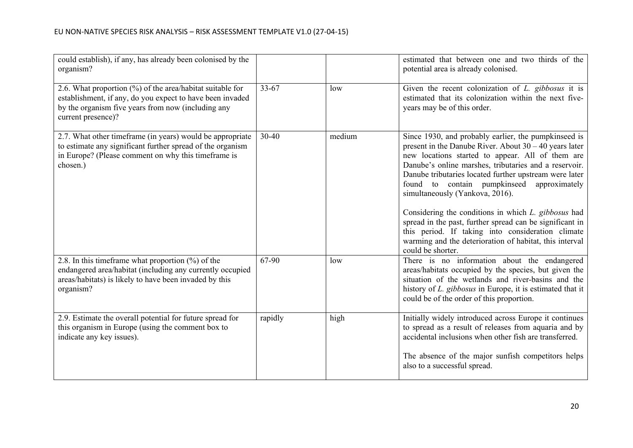| could establish), if any, has already been colonised by the<br>organism?                                                                                                                           |           |        | estimated that between one and two thirds of the<br>potential area is already colonised.                                                                                                                                                                                                                                                                                                                                                                                                                                                                                                                                         |
|----------------------------------------------------------------------------------------------------------------------------------------------------------------------------------------------------|-----------|--------|----------------------------------------------------------------------------------------------------------------------------------------------------------------------------------------------------------------------------------------------------------------------------------------------------------------------------------------------------------------------------------------------------------------------------------------------------------------------------------------------------------------------------------------------------------------------------------------------------------------------------------|
| 2.6. What proportion (%) of the area/habitat suitable for<br>establishment, if any, do you expect to have been invaded<br>by the organism five years from now (including any<br>current presence)? | $33 - 67$ | low    | Given the recent colonization of $L$ , gibbosus it is<br>estimated that its colonization within the next five-<br>years may be of this order.                                                                                                                                                                                                                                                                                                                                                                                                                                                                                    |
| 2.7. What other timeframe (in years) would be appropriate<br>to estimate any significant further spread of the organism<br>in Europe? (Please comment on why this timeframe is<br>chosen.)         | $30 - 40$ | medium | Since 1930, and probably earlier, the pumpkinseed is<br>present in the Danube River. About $30 - 40$ years later<br>new locations started to appear. All of them are<br>Danube's online marshes, tributaries and a reservoir.<br>Danube tributaries located further upstream were later<br>found to contain pumpkinseed approximately<br>simultaneously (Yankova, 2016).<br>Considering the conditions in which L. gibbosus had<br>spread in the past, further spread can be significant in<br>this period. If taking into consideration climate<br>warming and the deterioration of habitat, this interval<br>could be shorter. |
| 2.8. In this timeframe what proportion $(\%)$ of the<br>endangered area/habitat (including any currently occupied<br>areas/habitats) is likely to have been invaded by this<br>organism?           | 67-90     | low    | There is no information about the endangered<br>areas/habitats occupied by the species, but given the<br>situation of the wetlands and river-basins and the<br>history of L. gibbosus in Europe, it is estimated that it<br>could be of the order of this proportion.                                                                                                                                                                                                                                                                                                                                                            |
| 2.9. Estimate the overall potential for future spread for<br>this organism in Europe (using the comment box to<br>indicate any key issues).                                                        | rapidly   | high   | Initially widely introduced across Europe it continues<br>to spread as a result of releases from aquaria and by<br>accidental inclusions when other fish are transferred.<br>The absence of the major sunfish competitors helps<br>also to a successful spread.                                                                                                                                                                                                                                                                                                                                                                  |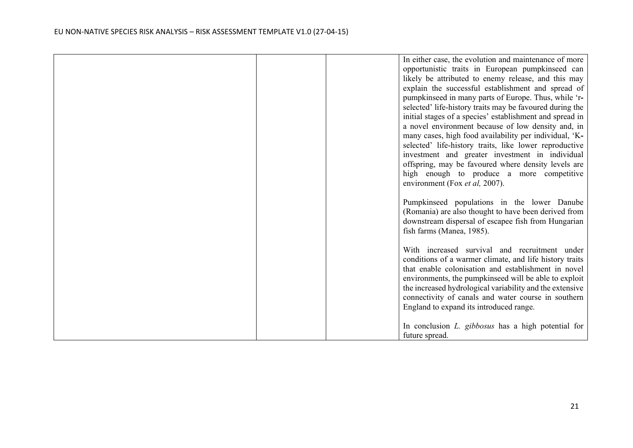|  | In either case, the evolution and maintenance of more     |
|--|-----------------------------------------------------------|
|  | opportunistic traits in European pumpkinseed can          |
|  | likely be attributed to enemy release, and this may       |
|  | explain the successful establishment and spread of        |
|  | pumpkinseed in many parts of Europe. Thus, while 'r-      |
|  | selected' life-history traits may be favoured during the  |
|  | initial stages of a species' establishment and spread in  |
|  | a novel environment because of low density and, in        |
|  | many cases, high food availability per individual, 'K-    |
|  | selected' life-history traits, like lower reproductive    |
|  | investment and greater investment in individual           |
|  | offspring, may be favoured where density levels are       |
|  | high enough to produce a more competitive                 |
|  | environment (Fox et al, 2007).                            |
|  |                                                           |
|  | Pumpkinseed populations in the lower Danube               |
|  | (Romania) are also thought to have been derived from      |
|  | downstream dispersal of escapee fish from Hungarian       |
|  | fish farms (Manea, 1985).                                 |
|  |                                                           |
|  | With increased survival and recruitment under             |
|  | conditions of a warmer climate, and life history traits   |
|  | that enable colonisation and establishment in novel       |
|  | environments, the pumpkinseed will be able to exploit     |
|  | the increased hydrological variability and the extensive  |
|  | connectivity of canals and water course in southern       |
|  | England to expand its introduced range.                   |
|  |                                                           |
|  | In conclusion <i>L. gibbosus</i> has a high potential for |
|  | future spread.                                            |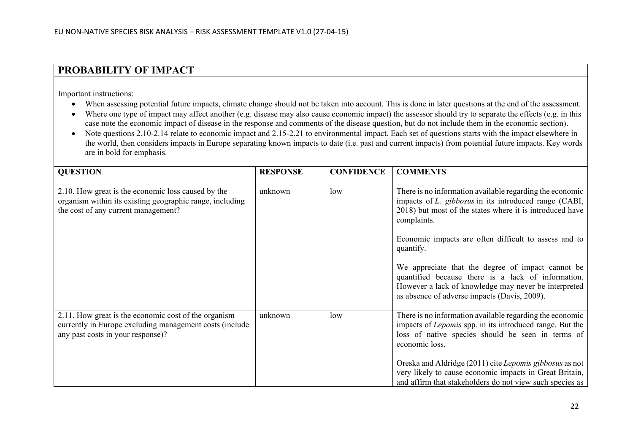## **PROBABILITY OF IMPACT**

Important instructions:

- When assessing potential future impacts, climate change should not be taken into account. This is done in later questions at the end of the assessment.
- Where one type of impact may affect another (e.g. disease may also cause economic impact) the assessor should try to separate the effects (e.g. in this case note the economic impact of disease in the response and comments of the disease question, but do not include them in the economic section).
- Note questions 2.10-2.14 relate to economic impact and 2.15-2.21 to environmental impact. Each set of questions starts with the impact elsewhere in the world, then considers impacts in Europe separating known impacts to date (i.e. past and current impacts) from potential future impacts. Key words are in bold for emphasis.

| <b>QUESTION</b>                                                                                                                                       | <b>RESPONSE</b> | <b>CONFIDENCE</b> | <b>COMMENTS</b>                                                                                                                                                                                                 |
|-------------------------------------------------------------------------------------------------------------------------------------------------------|-----------------|-------------------|-----------------------------------------------------------------------------------------------------------------------------------------------------------------------------------------------------------------|
| 2.10. How great is the economic loss caused by the<br>organism within its existing geographic range, including<br>the cost of any current management? | unknown         | low               | There is no information available regarding the economic<br>impacts of L. gibbosus in its introduced range (CABI,<br>2018) but most of the states where it is introduced have<br>complaints.                    |
|                                                                                                                                                       |                 |                   | Economic impacts are often difficult to assess and to<br>quantify.                                                                                                                                              |
|                                                                                                                                                       |                 |                   | We appreciate that the degree of impact cannot be<br>quantified because there is a lack of information.<br>However a lack of knowledge may never be interpreted<br>as absence of adverse impacts (Davis, 2009). |
| 2.11. How great is the economic cost of the organism<br>currently in Europe excluding management costs (include<br>any past costs in your response)?  | unknown         | low               | There is no information available regarding the economic<br>impacts of <i>Lepomis</i> spp. in its introduced range. But the<br>loss of native species should be seen in terms of<br>economic loss.              |
|                                                                                                                                                       |                 |                   | Oreska and Aldridge (2011) cite Lepomis gibbosus as not<br>very likely to cause economic impacts in Great Britain,<br>and affirm that stakeholders do not view such species as                                  |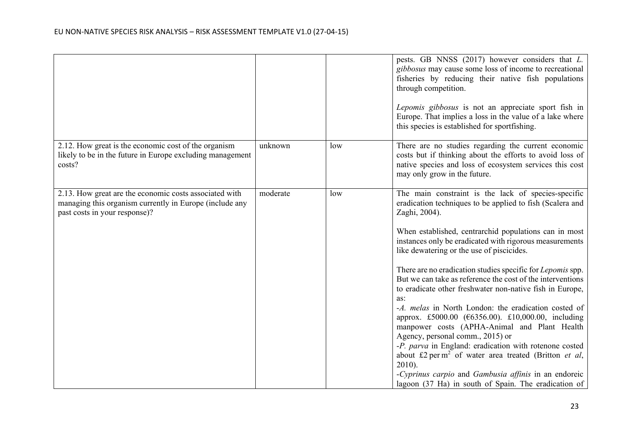|                                                                                                                                                    |          |     | pests. GB NNSS (2017) however considers that L.<br>gibbosus may cause some loss of income to recreational<br>fisheries by reducing their native fish populations<br>through competition.<br>Lepomis gibbosus is not an appreciate sport fish in<br>Europe. That implies a loss in the value of a lake where<br>this species is established for sportfishing.                                                                                                                                                                                                                                                                                                                                                                                                                                                                                                                                                                                                            |
|----------------------------------------------------------------------------------------------------------------------------------------------------|----------|-----|-------------------------------------------------------------------------------------------------------------------------------------------------------------------------------------------------------------------------------------------------------------------------------------------------------------------------------------------------------------------------------------------------------------------------------------------------------------------------------------------------------------------------------------------------------------------------------------------------------------------------------------------------------------------------------------------------------------------------------------------------------------------------------------------------------------------------------------------------------------------------------------------------------------------------------------------------------------------------|
| 2.12. How great is the economic cost of the organism<br>likely to be in the future in Europe excluding management<br>costs?                        | unknown  | low | There are no studies regarding the current economic<br>costs but if thinking about the efforts to avoid loss of<br>native species and loss of ecosystem services this cost<br>may only grow in the future.                                                                                                                                                                                                                                                                                                                                                                                                                                                                                                                                                                                                                                                                                                                                                              |
| 2.13. How great are the economic costs associated with<br>managing this organism currently in Europe (include any<br>past costs in your response)? | moderate | low | The main constraint is the lack of species-specific<br>eradication techniques to be applied to fish (Scalera and<br>Zaghi, 2004).<br>When established, centrarchid populations can in most<br>instances only be eradicated with rigorous measurements<br>like dewatering or the use of piscicides.<br>There are no eradication studies specific for Lepomis spp.<br>But we can take as reference the cost of the interventions<br>to eradicate other freshwater non-native fish in Europe,<br>as:<br>-A. melas in North London: the eradication costed of<br>approx. £5000.00 (€6356.00). £10,000.00, including<br>manpower costs (APHA-Animal and Plant Health<br>Agency, personal comm., 2015) or<br>-P. parva in England: eradication with rotenone costed<br>about £2 per m <sup>2</sup> of water area treated (Britton <i>et al</i> ,<br>$2010$ ).<br>-Cyprinus carpio and Gambusia affinis in an endoreic<br>lagoon (37 Ha) in south of Spain. The eradication of |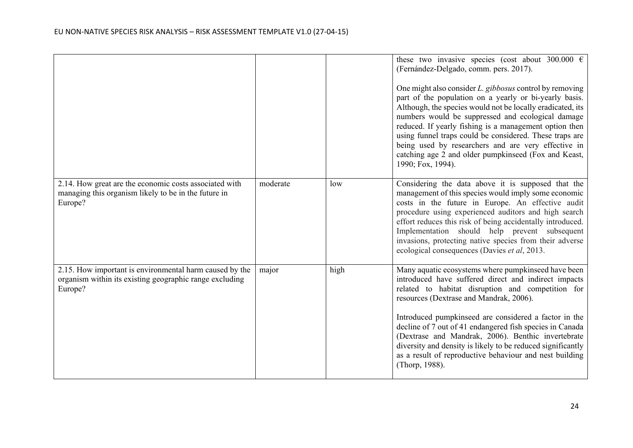|                                                                                                                               |          |      | these two invasive species (cost about 300.000 $\epsilon$<br>(Fernández-Delgado, comm. pers. 2017).<br>One might also consider L. gibbosus control by removing<br>part of the population on a yearly or bi-yearly basis.<br>Although, the species would not be locally eradicated, its<br>numbers would be suppressed and ecological damage<br>reduced. If yearly fishing is a management option then<br>using funnel traps could be considered. These traps are<br>being used by researchers and are very effective in<br>catching age 2 and older pumpkinseed (Fox and Keast,<br>1990; Fox, 1994). |
|-------------------------------------------------------------------------------------------------------------------------------|----------|------|------------------------------------------------------------------------------------------------------------------------------------------------------------------------------------------------------------------------------------------------------------------------------------------------------------------------------------------------------------------------------------------------------------------------------------------------------------------------------------------------------------------------------------------------------------------------------------------------------|
| 2.14. How great are the economic costs associated with<br>managing this organism likely to be in the future in<br>Europe?     | moderate | low  | Considering the data above it is supposed that the<br>management of this species would imply some economic<br>costs in the future in Europe. An effective audit<br>procedure using experienced auditors and high search<br>effort reduces this risk of being accidentally introduced.<br>Implementation should help prevent subsequent<br>invasions, protecting native species from their adverse<br>ecological consequences (Davies et al, 2013.                                                                                                                                                    |
| 2.15. How important is environmental harm caused by the<br>organism within its existing geographic range excluding<br>Europe? | major    | high | Many aquatic ecosystems where pumpkinseed have been<br>introduced have suffered direct and indirect impacts<br>related to habitat disruption and competition for<br>resources (Dextrase and Mandrak, 2006).<br>Introduced pumpkinseed are considered a factor in the<br>decline of 7 out of 41 endangered fish species in Canada<br>(Dextrase and Mandrak, 2006). Benthic invertebrate<br>diversity and density is likely to be reduced significantly<br>as a result of reproductive behaviour and nest building<br>(Thorp, 1988).                                                                   |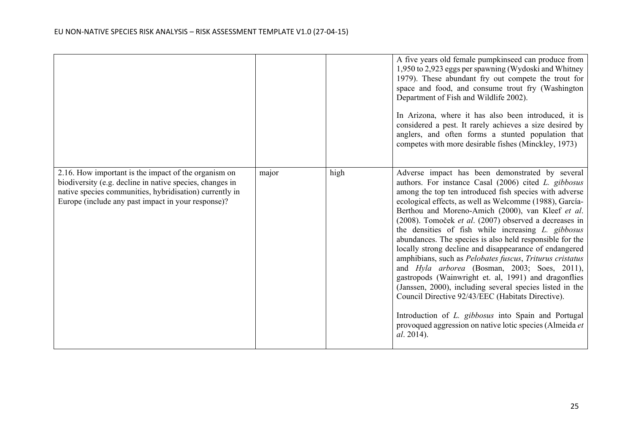|                                                                                                                                                                                                                                   |       |      | A five years old female pumpkinseed can produce from<br>1,950 to 2,923 eggs per spawning (Wydoski and Whitney<br>1979). These abundant fry out compete the trout for<br>space and food, and consume trout fry (Washington<br>Department of Fish and Wildlife 2002).<br>In Arizona, where it has also been introduced, it is<br>considered a pest. It rarely achieves a size desired by<br>anglers, and often forms a stunted population that<br>competes with more desirable fishes (Minckley, 1973)                                                                                                                                                                                                                                                                                                                                                                                                                                         |
|-----------------------------------------------------------------------------------------------------------------------------------------------------------------------------------------------------------------------------------|-------|------|----------------------------------------------------------------------------------------------------------------------------------------------------------------------------------------------------------------------------------------------------------------------------------------------------------------------------------------------------------------------------------------------------------------------------------------------------------------------------------------------------------------------------------------------------------------------------------------------------------------------------------------------------------------------------------------------------------------------------------------------------------------------------------------------------------------------------------------------------------------------------------------------------------------------------------------------|
| 2.16. How important is the impact of the organism on<br>biodiversity (e.g. decline in native species, changes in<br>native species communities, hybridisation) currently in<br>Europe (include any past impact in your response)? | major | high | Adverse impact has been demonstrated by several<br>authors. For instance Casal (2006) cited L. gibbosus<br>among the top ten introduced fish species with adverse<br>ecological effects, as well as Welcomme (1988), García-<br>Berthou and Moreno-Amich (2000), van Kleef et al.<br>(2008). Tomoček et al. (2007) observed a decreases in<br>the densities of fish while increasing L. gibbosus<br>abundances. The species is also held responsible for the<br>locally strong decline and disappearance of endangered<br>amphibians, such as Pelobates fuscus, Triturus cristatus<br>and Hyla arborea (Bosman, 2003; Soes, 2011),<br>gastropods (Wainwright et. al, 1991) and dragonflies<br>(Janssen, 2000), including several species listed in the<br>Council Directive 92/43/EEC (Habitats Directive).<br>Introduction of L. gibbosus into Spain and Portugal<br>provoqued aggression on native lotic species (Almeida et<br>al. 2014). |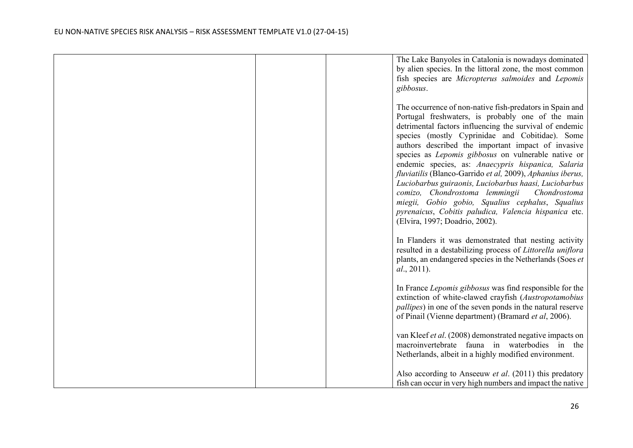|  | The Lake Banyoles in Catalonia is nowadays dominated               |
|--|--------------------------------------------------------------------|
|  | by alien species. In the littoral zone, the most common            |
|  | fish species are Micropterus salmoides and Lepomis                 |
|  | gibbosus.                                                          |
|  |                                                                    |
|  | The occurrence of non-native fish-predators in Spain and           |
|  | Portugal freshwaters, is probably one of the main                  |
|  | detrimental factors influencing the survival of endemic            |
|  | species (mostly Cyprinidae and Cobitidae). Some                    |
|  | authors described the important impact of invasive                 |
|  | species as <i>Lepomis</i> gibbosus on vulnerable native or         |
|  | endemic species, as: Anaecypris hispanica, Salaria                 |
|  | fluviatilis (Blanco-Garrido et al, 2009), Aphanius iberus,         |
|  | Luciobarbus guiraonis, Luciobarbus haasi, Luciobarbus              |
|  | comizo, Chondrostoma lemmingii<br>Chondrostoma                     |
|  | miegii, Gobio gobio, Squalius cephalus, Squalius                   |
|  | pyrenaicus, Cobitis paludica, Valencia hispanica etc.              |
|  | (Elvira, 1997; Doadrio, 2002).                                     |
|  |                                                                    |
|  | In Flanders it was demonstrated that nesting activity              |
|  | resulted in a destabilizing process of Littorella uniflora         |
|  | plants, an endangered species in the Netherlands (Soes et          |
|  | al., 2011).                                                        |
|  |                                                                    |
|  | In France Lepomis gibbosus was find responsible for the            |
|  | extinction of white-clawed crayfish (Austropotamobius              |
|  | <i>pallipes</i> ) in one of the seven ponds in the natural reserve |
|  | of Pinail (Vienne department) (Bramard et al, 2006).               |
|  | van Kleef et al. (2008) demonstrated negative impacts on           |
|  | macroinvertebrate fauna in waterbodies in the                      |
|  | Netherlands, albeit in a highly modified environment.              |
|  |                                                                    |
|  | Also according to Anseeuw et al. (2011) this predatory             |
|  | fish can occur in very high numbers and impact the native          |
|  |                                                                    |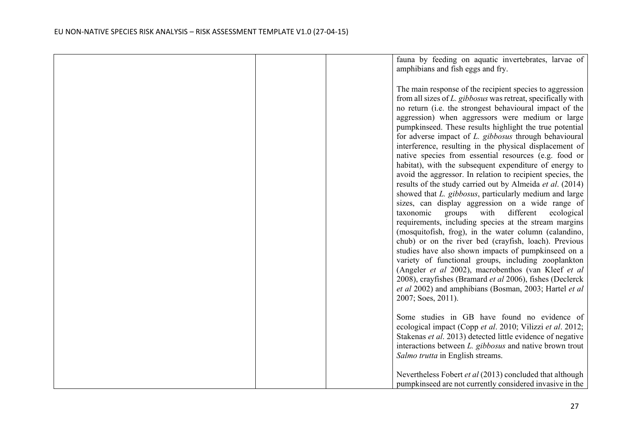|  | fauna by feeding on aquatic invertebrates, larvae of                                                                                                                                                                                                                                                                                                                                                                                                                                                                                                                                                                                                                                                                                                                                                                                                                                                                                                                                                                                                                                                                                                                                                                                                     |
|--|----------------------------------------------------------------------------------------------------------------------------------------------------------------------------------------------------------------------------------------------------------------------------------------------------------------------------------------------------------------------------------------------------------------------------------------------------------------------------------------------------------------------------------------------------------------------------------------------------------------------------------------------------------------------------------------------------------------------------------------------------------------------------------------------------------------------------------------------------------------------------------------------------------------------------------------------------------------------------------------------------------------------------------------------------------------------------------------------------------------------------------------------------------------------------------------------------------------------------------------------------------|
|  | amphibians and fish eggs and fry.                                                                                                                                                                                                                                                                                                                                                                                                                                                                                                                                                                                                                                                                                                                                                                                                                                                                                                                                                                                                                                                                                                                                                                                                                        |
|  | The main response of the recipient species to aggression<br>from all sizes of L. gibbosus was retreat, specifically with<br>no return (i.e. the strongest behavioural impact of the<br>aggression) when aggressors were medium or large<br>pumpkinseed. These results highlight the true potential<br>for adverse impact of L. gibbosus through behavioural<br>interference, resulting in the physical displacement of<br>native species from essential resources (e.g. food or<br>habitat), with the subsequent expenditure of energy to<br>avoid the aggressor. In relation to recipient species, the<br>results of the study carried out by Almeida et al. (2014)<br>showed that L. gibbosus, particularly medium and large<br>sizes, can display aggression on a wide range of<br>different<br>taxonomic<br>groups<br>with<br>ecological<br>requirements, including species at the stream margins<br>(mosquitofish, frog), in the water column (calandino,<br>chub) or on the river bed (crayfish, loach). Previous<br>studies have also shown impacts of pumpkinseed on a<br>variety of functional groups, including zooplankton<br>(Angeler et al 2002), macrobenthos (van Kleef et al<br>2008), crayfishes (Bramard et al 2006), fishes (Declerck |
|  | et al 2002) and amphibians (Bosman, 2003; Hartel et al                                                                                                                                                                                                                                                                                                                                                                                                                                                                                                                                                                                                                                                                                                                                                                                                                                                                                                                                                                                                                                                                                                                                                                                                   |
|  | 2007; Soes, 2011).                                                                                                                                                                                                                                                                                                                                                                                                                                                                                                                                                                                                                                                                                                                                                                                                                                                                                                                                                                                                                                                                                                                                                                                                                                       |
|  | Some studies in GB have found no evidence of<br>ecological impact (Copp et al. 2010; Vilizzi et al. 2012;<br>Stakenas et al. 2013) detected little evidence of negative                                                                                                                                                                                                                                                                                                                                                                                                                                                                                                                                                                                                                                                                                                                                                                                                                                                                                                                                                                                                                                                                                  |
|  | interactions between L. gibbosus and native brown trout                                                                                                                                                                                                                                                                                                                                                                                                                                                                                                                                                                                                                                                                                                                                                                                                                                                                                                                                                                                                                                                                                                                                                                                                  |
|  | Salmo trutta in English streams.                                                                                                                                                                                                                                                                                                                                                                                                                                                                                                                                                                                                                                                                                                                                                                                                                                                                                                                                                                                                                                                                                                                                                                                                                         |
|  | Nevertheless Fobert et al (2013) concluded that although                                                                                                                                                                                                                                                                                                                                                                                                                                                                                                                                                                                                                                                                                                                                                                                                                                                                                                                                                                                                                                                                                                                                                                                                 |
|  | pumpkinseed are not currently considered invasive in the                                                                                                                                                                                                                                                                                                                                                                                                                                                                                                                                                                                                                                                                                                                                                                                                                                                                                                                                                                                                                                                                                                                                                                                                 |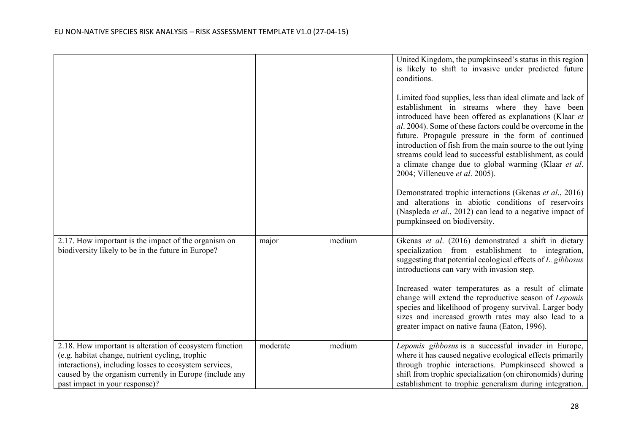|                                                                                                                                                                                                                                                                   |          |        | United Kingdom, the pumpkinseed's status in this region<br>is likely to shift to invasive under predicted future<br>conditions.<br>Limited food supplies, less than ideal climate and lack of<br>establishment in streams where they have been<br>introduced have been offered as explanations (Klaar et<br>al. 2004). Some of these factors could be overcome in the<br>future. Propagule pressure in the form of continued<br>introduction of fish from the main source to the out lying<br>streams could lead to successful establishment, as could<br>a climate change due to global warming (Klaar et al.<br>2004; Villeneuve et al. 2005).<br>Demonstrated trophic interactions (Gkenas et al., 2016)<br>and alterations in abiotic conditions of reservoirs<br>(Naspleda et al., 2012) can lead to a negative impact of<br>pumpkinseed on biodiversity. |
|-------------------------------------------------------------------------------------------------------------------------------------------------------------------------------------------------------------------------------------------------------------------|----------|--------|----------------------------------------------------------------------------------------------------------------------------------------------------------------------------------------------------------------------------------------------------------------------------------------------------------------------------------------------------------------------------------------------------------------------------------------------------------------------------------------------------------------------------------------------------------------------------------------------------------------------------------------------------------------------------------------------------------------------------------------------------------------------------------------------------------------------------------------------------------------|
| 2.17. How important is the impact of the organism on<br>biodiversity likely to be in the future in Europe?                                                                                                                                                        | major    | medium | Gkenas et al. (2016) demonstrated a shift in dietary<br>specialization from establishment to integration,<br>suggesting that potential ecological effects of L. gibbosus<br>introductions can vary with invasion step.<br>Increased water temperatures as a result of climate<br>change will extend the reproductive season of Lepomis                                                                                                                                                                                                                                                                                                                                                                                                                                                                                                                         |
|                                                                                                                                                                                                                                                                   |          |        | species and likelihood of progeny survival. Larger body<br>sizes and increased growth rates may also lead to a<br>greater impact on native fauna (Eaton, 1996).                                                                                                                                                                                                                                                                                                                                                                                                                                                                                                                                                                                                                                                                                                |
| 2.18. How important is alteration of ecosystem function<br>(e.g. habitat change, nutrient cycling, trophic<br>interactions), including losses to ecosystem services,<br>caused by the organism currently in Europe (include any<br>past impact in your response)? | moderate | medium | Lepomis gibbosus is a successful invader in Europe,<br>where it has caused negative ecological effects primarily<br>through trophic interactions. Pumpkinseed showed a<br>shift from trophic specialization (on chironomids) during<br>establishment to trophic generalism during integration.                                                                                                                                                                                                                                                                                                                                                                                                                                                                                                                                                                 |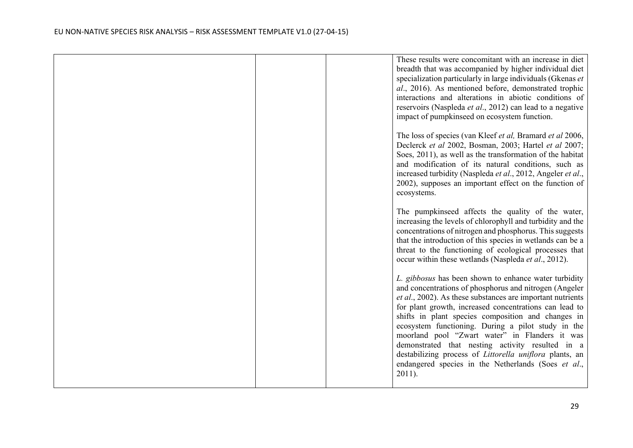|  | These results were concomitant with an increase in diet<br>breadth that was accompanied by higher individual diet<br>specialization particularly in large individuals (Gkenas et<br>al., 2016). As mentioned before, demonstrated trophic<br>interactions and alterations in abiotic conditions of<br>reservoirs (Naspleda et al., 2012) can lead to a negative<br>impact of pumpkinseed on ecosystem function.                                                                                                                                                                                 |
|--|-------------------------------------------------------------------------------------------------------------------------------------------------------------------------------------------------------------------------------------------------------------------------------------------------------------------------------------------------------------------------------------------------------------------------------------------------------------------------------------------------------------------------------------------------------------------------------------------------|
|  | The loss of species (van Kleef et al, Bramard et al 2006,<br>Declerck et al 2002, Bosman, 2003; Hartel et al 2007;<br>Soes, 2011), as well as the transformation of the habitat<br>and modification of its natural conditions, such as<br>increased turbidity (Naspleda et al., 2012, Angeler et al.,<br>2002), supposes an important effect on the function of<br>ecosystems.                                                                                                                                                                                                                  |
|  | The pumpkinseed affects the quality of the water,<br>increasing the levels of chlorophyll and turbidity and the<br>concentrations of nitrogen and phosphorus. This suggests<br>that the introduction of this species in wetlands can be a<br>threat to the functioning of ecological processes that<br>occur within these wetlands (Naspleda et al., 2012).                                                                                                                                                                                                                                     |
|  | L. gibbosus has been shown to enhance water turbidity<br>and concentrations of phosphorus and nitrogen (Angeler<br>et al., 2002). As these substances are important nutrients<br>for plant growth, increased concentrations can lead to<br>shifts in plant species composition and changes in<br>ecosystem functioning. During a pilot study in the<br>moorland pool "Zwart water" in Flanders it was<br>demonstrated that nesting activity resulted in a<br>destabilizing process of <i>Littorella uniflora</i> plants, an<br>endangered species in the Netherlands (Soes et al.,<br>$2011$ ). |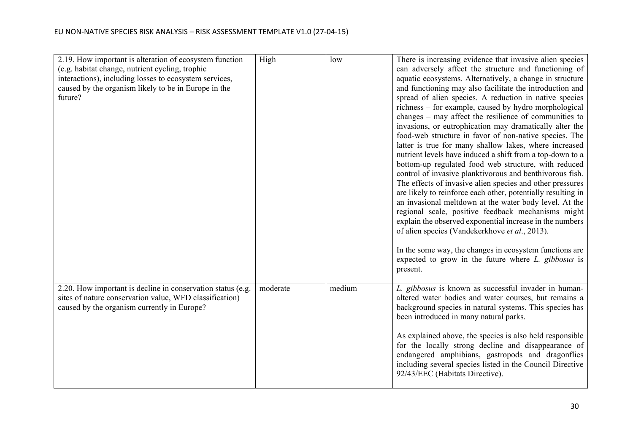| 2.19. How important is alteration of ecosystem function<br>(e.g. habitat change, nutrient cycling, trophic<br>interactions), including losses to ecosystem services,<br>caused by the organism likely to be in Europe in the<br>future? | High     | low    | There is increasing evidence that invasive alien species<br>can adversely affect the structure and functioning of<br>aquatic ecosystems. Alternatively, a change in structure<br>and functioning may also facilitate the introduction and<br>spread of alien species. A reduction in native species<br>richness - for example, caused by hydro morphological<br>changes $-$ may affect the resilience of communities to<br>invasions, or eutrophication may dramatically alter the<br>food-web structure in favor of non-native species. The<br>latter is true for many shallow lakes, where increased<br>nutrient levels have induced a shift from a top-down to a<br>bottom-up regulated food web structure, with reduced<br>control of invasive planktivorous and benthivorous fish.<br>The effects of invasive alien species and other pressures<br>are likely to reinforce each other, potentially resulting in<br>an invasional meltdown at the water body level. At the<br>regional scale, positive feedback mechanisms might<br>explain the observed exponential increase in the numbers<br>of alien species (Vandekerkhove et al., 2013).<br>In the some way, the changes in ecosystem functions are<br>expected to grow in the future where $L$ . gibbosus is<br>present. |
|-----------------------------------------------------------------------------------------------------------------------------------------------------------------------------------------------------------------------------------------|----------|--------|-------------------------------------------------------------------------------------------------------------------------------------------------------------------------------------------------------------------------------------------------------------------------------------------------------------------------------------------------------------------------------------------------------------------------------------------------------------------------------------------------------------------------------------------------------------------------------------------------------------------------------------------------------------------------------------------------------------------------------------------------------------------------------------------------------------------------------------------------------------------------------------------------------------------------------------------------------------------------------------------------------------------------------------------------------------------------------------------------------------------------------------------------------------------------------------------------------------------------------------------------------------------------------------|
| 2.20. How important is decline in conservation status (e.g.<br>sites of nature conservation value, WFD classification)<br>caused by the organism currently in Europe?                                                                   | moderate | medium | L. gibbosus is known as successful invader in human-<br>altered water bodies and water courses, but remains a<br>background species in natural systems. This species has<br>been introduced in many natural parks.<br>As explained above, the species is also held responsible<br>for the locally strong decline and disappearance of<br>endangered amphibians, gastropods and dragonflies<br>including several species listed in the Council Directive<br>92/43/EEC (Habitats Directive).                                                                                                                                                                                                                                                                                                                                                                                                                                                                                                                                                                                                                                                                                                                                                                                          |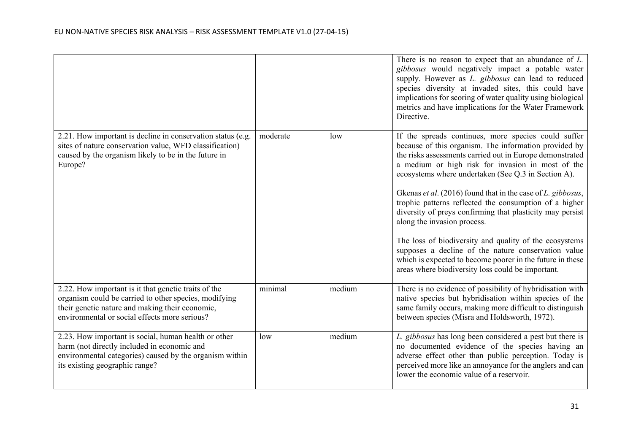|                                                                                                                                                                                                                   |          |        | There is no reason to expect that an abundance of $L$ .<br>gibbosus would negatively impact a potable water<br>supply. However as L. gibbosus can lead to reduced<br>species diversity at invaded sites, this could have<br>implications for scoring of water quality using biological<br>metrics and have implications for the Water Framework<br>Directive.                                                                                                                                                                                                                                                                                                                                                                                |
|-------------------------------------------------------------------------------------------------------------------------------------------------------------------------------------------------------------------|----------|--------|----------------------------------------------------------------------------------------------------------------------------------------------------------------------------------------------------------------------------------------------------------------------------------------------------------------------------------------------------------------------------------------------------------------------------------------------------------------------------------------------------------------------------------------------------------------------------------------------------------------------------------------------------------------------------------------------------------------------------------------------|
| 2.21. How important is decline in conservation status (e.g.<br>sites of nature conservation value, WFD classification)<br>caused by the organism likely to be in the future in<br>Europe?                         | moderate | low    | If the spreads continues, more species could suffer<br>because of this organism. The information provided by<br>the risks assessments carried out in Europe demonstrated<br>a medium or high risk for invasion in most of the<br>ecosystems where undertaken (See Q.3 in Section A).<br>Gkenas et al. (2016) found that in the case of L. gibbosus,<br>trophic patterns reflected the consumption of a higher<br>diversity of preys confirming that plasticity may persist<br>along the invasion process.<br>The loss of biodiversity and quality of the ecosystems<br>supposes a decline of the nature conservation value<br>which is expected to become poorer in the future in these<br>areas where biodiversity loss could be important. |
| 2.22. How important is it that genetic traits of the<br>organism could be carried to other species, modifying<br>their genetic nature and making their economic,<br>environmental or social effects more serious? | minimal  | medium | There is no evidence of possibility of hybridisation with<br>native species but hybridisation within species of the<br>same family occurs, making more difficult to distinguish<br>between species (Misra and Holdsworth, 1972).                                                                                                                                                                                                                                                                                                                                                                                                                                                                                                             |
| 2.23. How important is social, human health or other<br>harm (not directly included in economic and<br>environmental categories) caused by the organism within<br>its existing geographic range?                  | low      | medium | L. gibbosus has long been considered a pest but there is<br>no documented evidence of the species having an<br>adverse effect other than public perception. Today is<br>perceived more like an annoyance for the anglers and can<br>lower the economic value of a reservoir.                                                                                                                                                                                                                                                                                                                                                                                                                                                                 |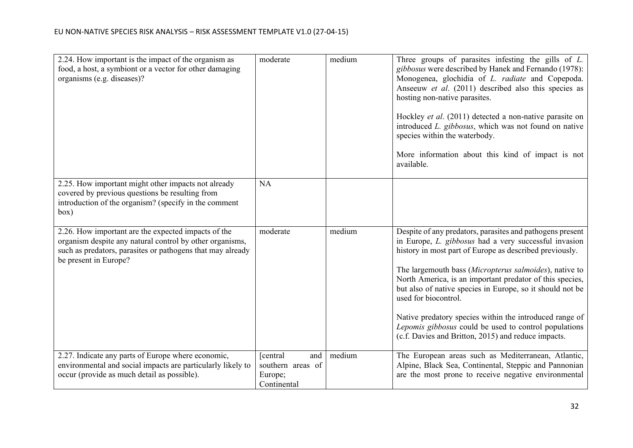| 2.24. How important is the impact of the organism as<br>food, a host, a symbiont or a vector for other damaging<br>organisms (e.g. diseases)?                                                          | moderate                                                        | medium | Three groups of parasites infesting the gills of $L$ .<br>gibbosus were described by Hanek and Fernando (1978):<br>Monogenea, glochidia of L. radiate and Copepoda.<br>Anseeuw et al. (2011) described also this species as<br>hosting non-native parasites.<br>Hockley et al. (2011) detected a non-native parasite on<br>introduced L. gibbosus, which was not found on native<br>species within the waterbody.<br>More information about this kind of impact is not<br>available.                                                                                |
|--------------------------------------------------------------------------------------------------------------------------------------------------------------------------------------------------------|-----------------------------------------------------------------|--------|---------------------------------------------------------------------------------------------------------------------------------------------------------------------------------------------------------------------------------------------------------------------------------------------------------------------------------------------------------------------------------------------------------------------------------------------------------------------------------------------------------------------------------------------------------------------|
| 2.25. How important might other impacts not already<br>covered by previous questions be resulting from<br>introduction of the organism? (specify in the comment<br>box)                                | <b>NA</b>                                                       |        |                                                                                                                                                                                                                                                                                                                                                                                                                                                                                                                                                                     |
| 2.26. How important are the expected impacts of the<br>organism despite any natural control by other organisms,<br>such as predators, parasites or pathogens that may already<br>be present in Europe? | moderate                                                        | medium | Despite of any predators, parasites and pathogens present<br>in Europe, L. gibbosus had a very successful invasion<br>history in most part of Europe as described previously.<br>The largemouth bass (Micropterus salmoides), native to<br>North America, is an important predator of this species,<br>but also of native species in Europe, so it should not be<br>used for biocontrol.<br>Native predatory species within the introduced range of<br>Lepomis gibbosus could be used to control populations<br>(c.f. Davies and Britton, 2015) and reduce impacts. |
| 2.27. Indicate any parts of Europe where economic,<br>environmental and social impacts are particularly likely to<br>occur (provide as much detail as possible).                                       | [central]<br>and<br>southern areas of<br>Europe;<br>Continental | medium | The European areas such as Mediterranean, Atlantic,<br>Alpine, Black Sea, Continental, Steppic and Pannonian<br>are the most prone to receive negative environmental                                                                                                                                                                                                                                                                                                                                                                                                |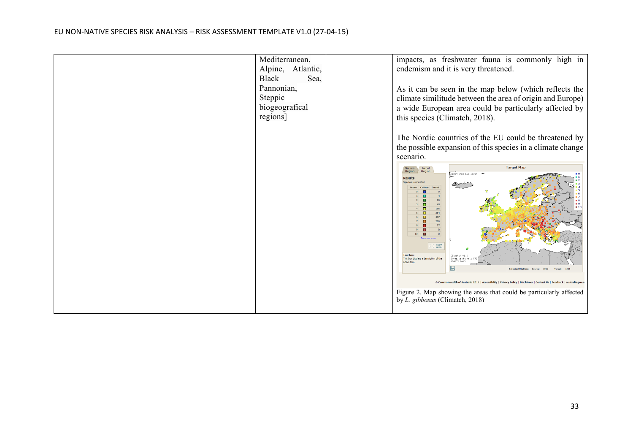| Mediterranean,<br>Alpine,<br>Atlantic,<br>Black<br>Sea,<br>Pannonian,<br>Steppic<br>biogeografical<br>regions] | impacts, as freshwater fauna is commonly high in<br>endemism and it is very threatened.<br>As it can be seen in the map below (which reflects the<br>climate similitude between the area of origin and Europe)<br>a wide European area could be particularly affected by<br>this species (Climatch, 2018).                                                                                                                                                                                                                                                                                                                                            |
|----------------------------------------------------------------------------------------------------------------|-------------------------------------------------------------------------------------------------------------------------------------------------------------------------------------------------------------------------------------------------------------------------------------------------------------------------------------------------------------------------------------------------------------------------------------------------------------------------------------------------------------------------------------------------------------------------------------------------------------------------------------------------------|
|                                                                                                                | The Nordic countries of the EU could be threatened by<br>the possible expansion of this species in a climate change<br>scenario.<br><b>Target Map</b><br>Target<br>Region<br>EAlgorithm: Euclidean<br>/ CLEAR<br>$212$ MATCH<br><b>Tool tips:</b><br>Climatch v1.<br>This box displays a description of the<br>Invasive Animal<br>BARES 2008<br>active too<br>■<br>1060<br>1305<br><b>Selected Stations</b><br>Sources<br>Target:<br>Commonwealth of Australia 2011   Accessibility   Privacy Policy   Disclaimer   Contact Us   Feedback  <br>Figure 2. Map showing the areas that could be particularly affected<br>by L. gibbosus (Climatch, 2018) |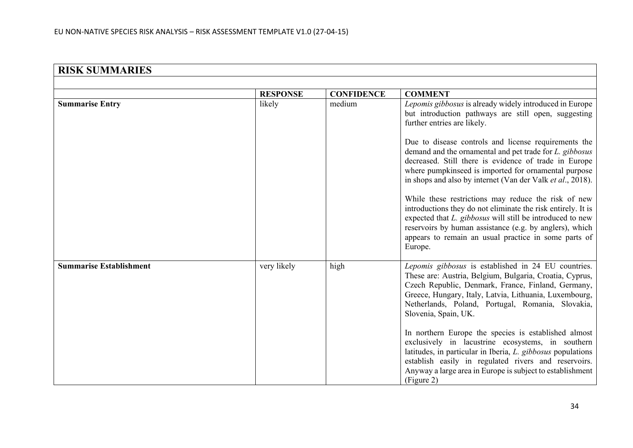|                                | <b>RESPONSE</b> | <b>CONFIDENCE</b> | <b>COMMENT</b>                                                                                                                                                                                                                                                                                                 |
|--------------------------------|-----------------|-------------------|----------------------------------------------------------------------------------------------------------------------------------------------------------------------------------------------------------------------------------------------------------------------------------------------------------------|
| <b>Summarise Entry</b>         | likely          | medium            | Lepomis gibbosus is already widely introduced in Europe<br>but introduction pathways are still open, suggesting<br>further entries are likely.                                                                                                                                                                 |
|                                |                 |                   | Due to disease controls and license requirements the<br>demand and the ornamental and pet trade for L. gibbosus<br>decreased. Still there is evidence of trade in Europe<br>where pumpkinseed is imported for ornamental purpose<br>in shops and also by internet (Van der Valk et al., 2018).                 |
|                                |                 |                   | While these restrictions may reduce the risk of new<br>introductions they do not eliminate the risk entirely. It is<br>expected that L. gibbosus will still be introduced to new<br>reservoirs by human assistance (e.g. by anglers), which<br>appears to remain an usual practice in some parts of<br>Europe. |
| <b>Summarise Establishment</b> | very likely     | high              | Lepomis gibbosus is established in 24 EU countries.<br>These are: Austria, Belgium, Bulgaria, Croatia, Cyprus,<br>Czech Republic, Denmark, France, Finland, Germany,<br>Greece, Hungary, Italy, Latvia, Lithuania, Luxembourg,<br>Netherlands, Poland, Portugal, Romania, Slovakia,<br>Slovenia, Spain, UK.    |
|                                |                 |                   | In northern Europe the species is established almost<br>exclusively in lacustrine ecosystems, in southern<br>latitudes, in particular in Iberia, L. gibbosus populations<br>establish easily in regulated rivers and reservoirs.<br>Anyway a large area in Europe is subject to establishment<br>(Figure 2)    |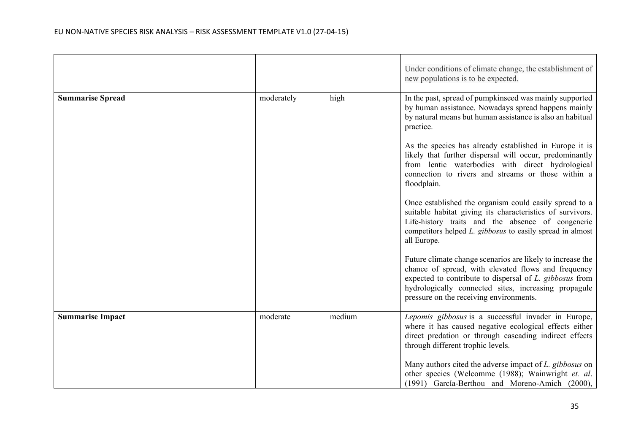|                         |            |        | Under conditions of climate change, the establishment of<br>new populations is to be expected.                                                                                                                                                                                  |
|-------------------------|------------|--------|---------------------------------------------------------------------------------------------------------------------------------------------------------------------------------------------------------------------------------------------------------------------------------|
| <b>Summarise Spread</b> | moderately | high   | In the past, spread of pumpkinseed was mainly supported<br>by human assistance. Nowadays spread happens mainly<br>by natural means but human assistance is also an habitual<br>practice.                                                                                        |
|                         |            |        | As the species has already established in Europe it is<br>likely that further dispersal will occur, predominantly<br>from lentic waterbodies with direct hydrological<br>connection to rivers and streams or those within a<br>floodplain.                                      |
|                         |            |        | Once established the organism could easily spread to a<br>suitable habitat giving its characteristics of survivors.<br>Life-history traits and the absence of congeneric<br>competitors helped L. gibbosus to easily spread in almost<br>all Europe.                            |
|                         |            |        | Future climate change scenarios are likely to increase the<br>chance of spread, with elevated flows and frequency<br>expected to contribute to dispersal of L. gibbosus from<br>hydrologically connected sites, increasing propagule<br>pressure on the receiving environments. |
| <b>Summarise Impact</b> | moderate   | medium | Lepomis gibbosus is a successful invader in Europe,<br>where it has caused negative ecological effects either<br>direct predation or through cascading indirect effects<br>through different trophic levels.                                                                    |
|                         |            |        | Many authors cited the adverse impact of L. gibbosus on<br>other species (Welcomme (1988); Wainwright et. al.<br>(1991) García-Berthou and Moreno-Amich (2000),                                                                                                                 |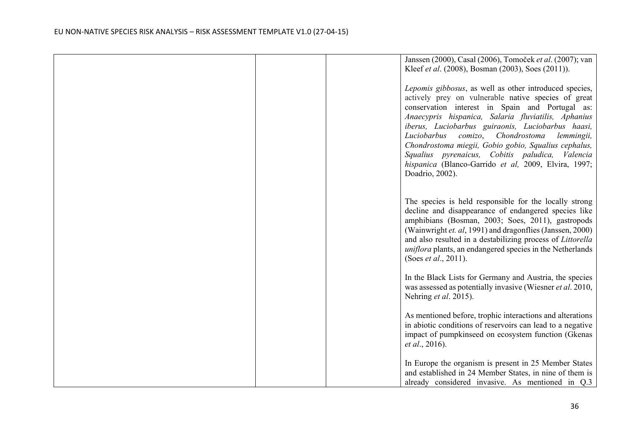|  | Janssen (2000), Casal (2006), Tomoček et al. (2007); van<br>Kleef et al. (2008), Bosman (2003), Soes (2011)).<br>Lepomis gibbosus, as well as other introduced species,                                                                                                                                                                                                                                                                                       |
|--|---------------------------------------------------------------------------------------------------------------------------------------------------------------------------------------------------------------------------------------------------------------------------------------------------------------------------------------------------------------------------------------------------------------------------------------------------------------|
|  | actively prey on vulnerable native species of great<br>conservation interest in Spain and Portugal as:<br>Anaecypris hispanica, Salaria fluviatilis, Aphanius<br>iberus, Luciobarbus guiraonis, Luciobarbus haasi,<br>comizo, Chondrostoma<br>Luciobarbus<br>lemmingii,<br>Chondrostoma miegii, Gobio gobio, Squalius cephalus,<br>Squalius pyrenaicus, Cobitis paludica, Valencia<br>hispanica (Blanco-Garrido et al, 2009, Elvira, 1997;<br>Doadrio, 2002). |
|  | The species is held responsible for the locally strong<br>decline and disappearance of endangered species like<br>amphibians (Bosman, 2003; Soes, 2011), gastropods<br>(Wainwright et. al, 1991) and dragonflies (Janssen, 2000)<br>and also resulted in a destabilizing process of Littorella<br>uniflora plants, an endangered species in the Netherlands<br>(Soes <i>et al.</i> , 2011).                                                                   |
|  | In the Black Lists for Germany and Austria, the species<br>was assessed as potentially invasive (Wiesner et al. 2010,<br>Nehring et al. 2015).                                                                                                                                                                                                                                                                                                                |
|  | As mentioned before, trophic interactions and alterations<br>in abiotic conditions of reservoirs can lead to a negative<br>impact of pumpkinseed on ecosystem function (Gkenas<br><i>et al.</i> , 2016).                                                                                                                                                                                                                                                      |
|  | In Europe the organism is present in 25 Member States<br>and established in 24 Member States, in nine of them is<br>already considered invasive. As mentioned in Q.3                                                                                                                                                                                                                                                                                          |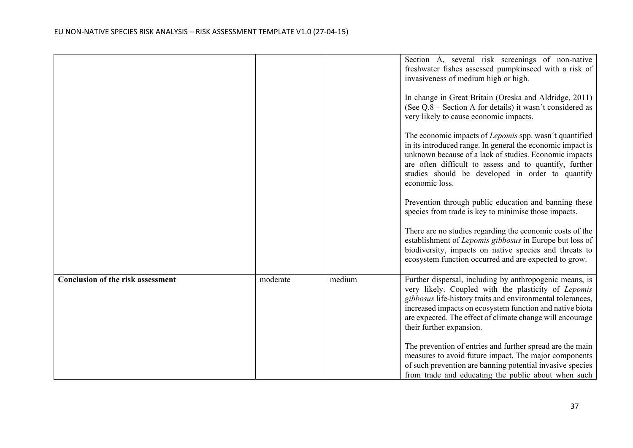|                                          |          |        | Section A, several risk screenings of non-native<br>freshwater fishes assessed pumpkinseed with a risk of<br>invasiveness of medium high or high.<br>In change in Great Britain (Oreska and Aldridge, 2011)                                                                                                                       |
|------------------------------------------|----------|--------|-----------------------------------------------------------------------------------------------------------------------------------------------------------------------------------------------------------------------------------------------------------------------------------------------------------------------------------|
|                                          |          |        | (See Q.8 – Section A for details) it wasn't considered as<br>very likely to cause economic impacts.                                                                                                                                                                                                                               |
|                                          |          |        | The economic impacts of Lepomis spp. wasn't quantified<br>in its introduced range. In general the economic impact is<br>unknown because of a lack of studies. Economic impacts<br>are often difficult to assess and to quantify, further<br>studies should be developed in order to quantify<br>economic loss.                    |
|                                          |          |        | Prevention through public education and banning these<br>species from trade is key to minimise those impacts.                                                                                                                                                                                                                     |
|                                          |          |        | There are no studies regarding the economic costs of the<br>establishment of Lepomis gibbosus in Europe but loss of<br>biodiversity, impacts on native species and threats to<br>ecosystem function occurred and are expected to grow.                                                                                            |
| <b>Conclusion of the risk assessment</b> | moderate | medium | Further dispersal, including by anthropogenic means, is<br>very likely. Coupled with the plasticity of Lepomis<br>gibbosus life-history traits and environmental tolerances,<br>increased impacts on ecosystem function and native biota<br>are expected. The effect of climate change will encourage<br>their further expansion. |
|                                          |          |        | The prevention of entries and further spread are the main<br>measures to avoid future impact. The major components<br>of such prevention are banning potential invasive species<br>from trade and educating the public about when such                                                                                            |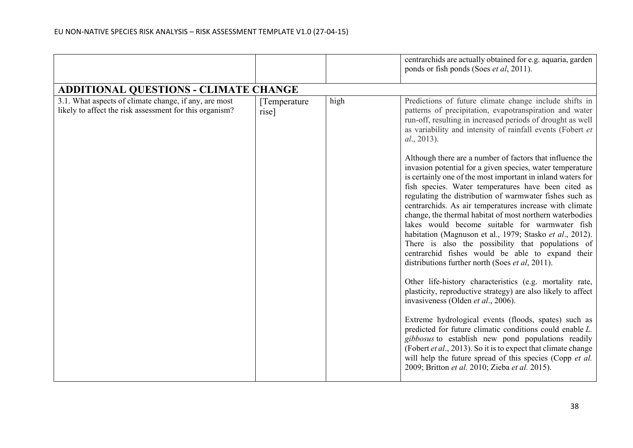|                                                                                                                  |                        |      | centrarchids are actually obtained for e.g. aquaria, garden<br>ponds or fish ponds (Soes et al, 2011).                                                                                                                                                                                                                                                                                                                                                                                                                                                                                                                                      |
|------------------------------------------------------------------------------------------------------------------|------------------------|------|---------------------------------------------------------------------------------------------------------------------------------------------------------------------------------------------------------------------------------------------------------------------------------------------------------------------------------------------------------------------------------------------------------------------------------------------------------------------------------------------------------------------------------------------------------------------------------------------------------------------------------------------|
| <b>ADDITIONAL QUESTIONS - CLIMATE CHANGE</b>                                                                     |                        |      |                                                                                                                                                                                                                                                                                                                                                                                                                                                                                                                                                                                                                                             |
| 3.1. What aspects of climate change, if any, are most<br>likely to affect the risk assessment for this organism? | [Temperature]<br>rise] | high | Predictions of future climate change include shifts in<br>patterns of precipitation, evapotranspiration and water<br>run-off, resulting in increased periods of drought as well<br>as variability and intensity of rainfall events (Fobert et<br>al., 2013).<br>Although there are a number of factors that influence the                                                                                                                                                                                                                                                                                                                   |
|                                                                                                                  |                        |      | invasion potential for a given species, water temperature<br>is certainly one of the most important in inland waters for<br>fish species. Water temperatures have been cited as<br>regulating the distribution of warmwater fishes such as<br>centrarchids. As air temperatures increase with climate<br>change, the thermal habitat of most northern waterbodies<br>lakes would become suitable for warmwater fish<br>habitation (Magnuson et al., 1979; Stasko et al., 2012).<br>There is also the possibility that populations of<br>centrarchid fishes would be able to expand their<br>distributions further north (Soes et al, 2011). |
|                                                                                                                  |                        |      | Other life-history characteristics (e.g. mortality rate,<br>plasticity, reproductive strategy) are also likely to affect<br>invasiveness (Olden et al., 2006).                                                                                                                                                                                                                                                                                                                                                                                                                                                                              |
|                                                                                                                  |                        |      | Extreme hydrological events (floods, spates) such as<br>predicted for future climatic conditions could enable L.<br>gibbosus to establish new pond populations readily<br>(Fobert et al., 2013). So it is to expect that climate change<br>will help the future spread of this species (Copp et al.<br>2009; Britton et al. 2010; Zieba et al. 2015).                                                                                                                                                                                                                                                                                       |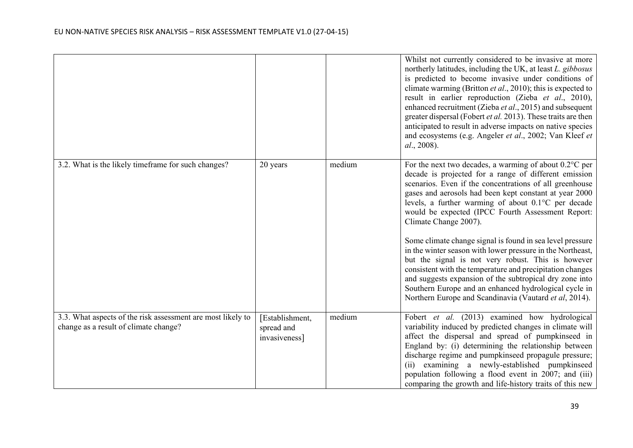|                                                                                                      |                                                |        | Whilst not currently considered to be invasive at more<br>northerly latitudes, including the UK, at least L. gibbosus<br>is predicted to become invasive under conditions of<br>climate warming (Britton et al., 2010); this is expected to<br>result in earlier reproduction (Zieba et al., 2010),<br>enhanced recruitment (Zieba et al., 2015) and subsequent<br>greater dispersal (Fobert et al. 2013). These traits are then<br>anticipated to result in adverse impacts on native species<br>and ecosystems (e.g. Angeler et al., 2002; Van Kleef et<br><i>al.</i> , 2008). |
|------------------------------------------------------------------------------------------------------|------------------------------------------------|--------|----------------------------------------------------------------------------------------------------------------------------------------------------------------------------------------------------------------------------------------------------------------------------------------------------------------------------------------------------------------------------------------------------------------------------------------------------------------------------------------------------------------------------------------------------------------------------------|
| 3.2. What is the likely time frame for such changes?                                                 | 20 years                                       | medium | For the next two decades, a warming of about $0.2^{\circ}$ C per<br>decade is projected for a range of different emission<br>scenarios. Even if the concentrations of all greenhouse<br>gases and aerosols had been kept constant at year 2000<br>levels, a further warming of about 0.1°C per decade<br>would be expected (IPCC Fourth Assessment Report:<br>Climate Change 2007).                                                                                                                                                                                              |
|                                                                                                      |                                                |        | Some climate change signal is found in sea level pressure<br>in the winter season with lower pressure in the Northeast,<br>but the signal is not very robust. This is however<br>consistent with the temperature and precipitation changes<br>and suggests expansion of the subtropical dry zone into<br>Southern Europe and an enhanced hydrological cycle in<br>Northern Europe and Scandinavia (Vautard et al, 2014).                                                                                                                                                         |
| 3.3. What aspects of the risk assessment are most likely to<br>change as a result of climate change? | [Establishment,<br>spread and<br>invasiveness] | medium | Fobert et al. (2013) examined how hydrological<br>variability induced by predicted changes in climate will<br>affect the dispersal and spread of pumpkinseed in<br>England by: (i) determining the relationship between<br>discharge regime and pumpkinseed propagule pressure;<br>examining a newly-established pumpkinseed<br>(ii)<br>population following a flood event in 2007; and (iii)<br>comparing the growth and life-history traits of this new                                                                                                                        |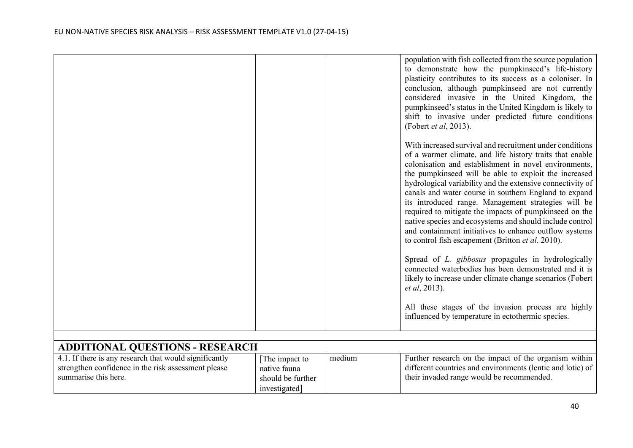summarise this here.

|                                                        |               |        | population with fish collected from the source population<br>to demonstrate how the pumpkinseed's life-history<br>plasticity contributes to its success as a coloniser. In<br>conclusion, although pumpkinseed are not currently<br>considered invasive in the United Kingdom, the<br>pumpkinseed's status in the United Kingdom is likely to<br>shift to invasive under predicted future conditions<br>(Fobert <i>et al</i> , 2013).<br>With increased survival and recruitment under conditions<br>of a warmer climate, and life history traits that enable<br>colonisation and establishment in novel environments,<br>the pumpkinseed will be able to exploit the increased<br>hydrological variability and the extensive connectivity of<br>canals and water course in southern England to expand<br>its introduced range. Management strategies will be<br>required to mitigate the impacts of pumpkinseed on the<br>native species and ecosystems and should include control<br>and containment initiatives to enhance outflow systems<br>to control fish escapement (Britton et al. 2010).<br>Spread of L. gibbosus propagules in hydrologically<br>connected waterbodies has been demonstrated and it is<br>likely to increase under climate change scenarios (Fobert<br><i>et al.</i> 2013).<br>All these stages of the invasion process are highly<br>influenced by temperature in ectothermic species. |
|--------------------------------------------------------|---------------|--------|--------------------------------------------------------------------------------------------------------------------------------------------------------------------------------------------------------------------------------------------------------------------------------------------------------------------------------------------------------------------------------------------------------------------------------------------------------------------------------------------------------------------------------------------------------------------------------------------------------------------------------------------------------------------------------------------------------------------------------------------------------------------------------------------------------------------------------------------------------------------------------------------------------------------------------------------------------------------------------------------------------------------------------------------------------------------------------------------------------------------------------------------------------------------------------------------------------------------------------------------------------------------------------------------------------------------------------------------------------------------------------------------------------------------|
|                                                        |               |        |                                                                                                                                                                                                                                                                                                                                                                                                                                                                                                                                                                                                                                                                                                                                                                                                                                                                                                                                                                                                                                                                                                                                                                                                                                                                                                                                                                                                                    |
| <b>ADDITIONAL QUESTIONS - RESEARCH</b>                 |               |        |                                                                                                                                                                                                                                                                                                                                                                                                                                                                                                                                                                                                                                                                                                                                                                                                                                                                                                                                                                                                                                                                                                                                                                                                                                                                                                                                                                                                                    |
|                                                        |               |        |                                                                                                                                                                                                                                                                                                                                                                                                                                                                                                                                                                                                                                                                                                                                                                                                                                                                                                                                                                                                                                                                                                                                                                                                                                                                                                                                                                                                                    |
| 4.1. If there is any research that would significantly | The impact to | medium | Further research on the impact of the organism within                                                                                                                                                                                                                                                                                                                                                                                                                                                                                                                                                                                                                                                                                                                                                                                                                                                                                                                                                                                                                                                                                                                                                                                                                                                                                                                                                              |
| strengthen confidence in the risk assessment please    | native fauna  |        | different countries and environments (lentic and lotic) of                                                                                                                                                                                                                                                                                                                                                                                                                                                                                                                                                                                                                                                                                                                                                                                                                                                                                                                                                                                                                                                                                                                                                                                                                                                                                                                                                         |

| native fauna      | different countries and environments (lentic and lotic) of |  |
|-------------------|------------------------------------------------------------|--|
| should be further | their invaded range would be recommended.                  |  |
| investigated]     |                                                            |  |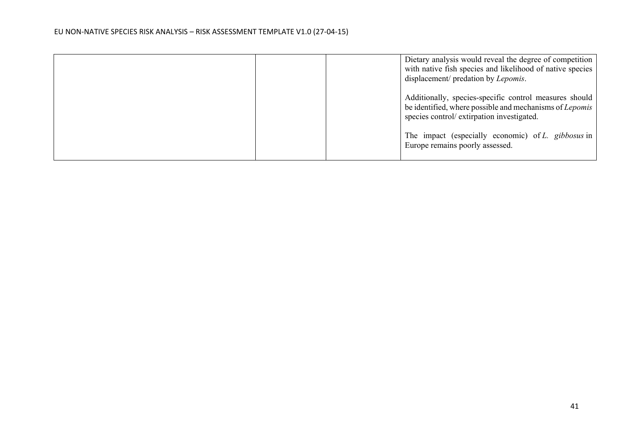|  | Dietary analysis would reveal the degree of competition<br>with native fish species and likelihood of native species  <br>displacement/ predation by Lepomis.   |
|--|-----------------------------------------------------------------------------------------------------------------------------------------------------------------|
|  | Additionally, species-specific control measures should<br>be identified, where possible and mechanisms of Lepomis<br>species control/ extirpation investigated. |
|  | The impact (especially economic) of L. gibbosus in<br>Europe remains poorly assessed.                                                                           |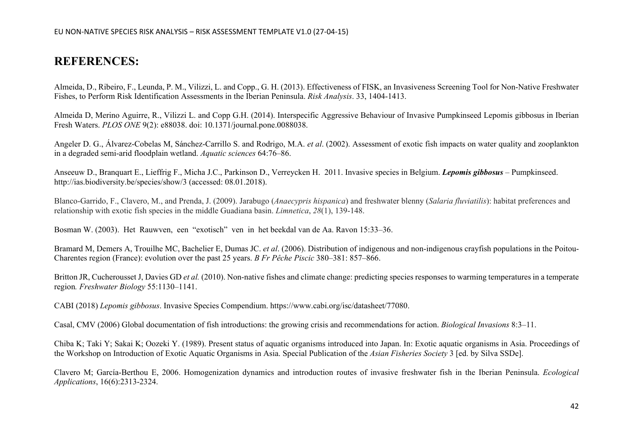# **REFERENCES:**

Almeida, D., Ribeiro, F., Leunda, P. M., Vilizzi, L. and Copp., G. H. (2013). Effectiveness of FISK, an Invasiveness Screening Tool for Non-Native Freshwater Fishes, to Perform Risk Identification Assessments in the Iberian Peninsula. *Risk Analysis*. 33, 1404-1413.

Almeida D, Merino Aguirre, R., Vilizzi L. and Copp G.H. (2014). Interspecific Aggressive Behaviour of Invasive Pumpkinseed Lepomis gibbosus in Iberian Fresh Waters. *PLOS ONE* 9(2): e88038. doi: 10.1371/journal.pone.0088038.

Angeler D. G., Álvarez-Cobelas M, Sánchez-Carrillo S. and Rodrigo, M.A. *et al*. (2002). Assessment of exotic fish impacts on water quality and zooplankton in a degraded semi-arid floodplain wetland. *Aquatic sciences* 64:76–86.

Anseeuw D., Branquart E., Lieffrig F., Micha J.C., Parkinson D., Verreycken H. 2011. Invasive species in Belgium. *Lepomis gibbosus* – Pumpkinseed. <http://ias.biodiversity.be/species/show/3> (accessed: 08.01.2018).

Blanco-Garrido, F., Clavero, M., and Prenda, J. (2009). Jarabugo (*Anaecypris hispanica*) and freshwater blenny (*Salaria fluviatilis*): habitat preferences and relationship with exotic fish species in the middle Guadiana basin. *Limnetica*, *28*(1), 139-148.

Bosman W. (2003). Het Rauwven, een "exotisch" ven in het beekdal van de Aa. Ravon 15:33–36.

Bramard M, Demers A, Trouilhe MC, Bachelier E, Dumas JC. *et al*. (2006). Distribution of indigenous and non-indigenous crayfish populations in the Poitou-Charentes region (France): evolution over the past 25 years. *B Fr Pêche Piscic* 380–381: 857–866.

Britton JR, Cucherousset J, Davies GD *et al.* (2010). Non-native fishes and climate change: predicting species responses to warming temperatures in a temperate region*. Freshwater Biology* 55:1130–1141.

CABI (2018) *Lepomis gibbosus*. Invasive Species Compendium. https://www.cabi.org/isc/datasheet/77080.

Casal, CMV (2006) Global documentation of fish introductions: the growing crisis and recommendations for action. *Biological Invasions* 8:3–11.

Chiba K; Taki Y; Sakai K; Oozeki Y. (1989)[. Present status of aquatic organisms introduced into Japan. In: Exotic aquatic organisms in Asia. Proceedings of](https://www.cabi.org/isc/abstract/20077200272)  the Workshop on Introduction of Exotic A[quatic Organisms in Asia. Special Publication of the](https://www.cabi.org/isc/abstract/20077200272) *Asian Fisheries Society* 3 [ed. by Silva SSDe].

Clavero M; García-Berthou E, 2006. Homogenization dynamics and introduction routes of invasive freshwater fish in the Iberian Peninsula. *Ecological Applications*, 16(6):2313-2324.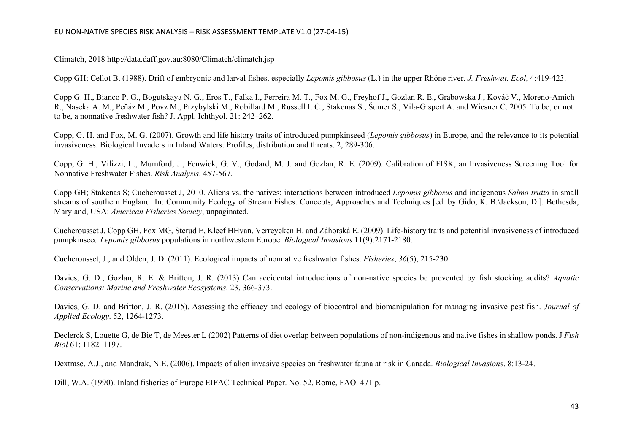Climatch, 2018 <http://data.daff.gov.au:8080/Climatch/climatch.jsp>

Copp GH; Cellot B, (1988). Drift of [embryonic](https://www.cabi.org/isc/abstract/20087205076) and larval fishes, especially *Lepomis gibbosus* (L.) in the upper Rhône river. *J. Freshwat. Ecol*, 4:419-423.

Copp G. H., Bianco P. G., Bogutskaya N. G., Eros T., Falka I., Ferreira M. T., Fox M. G., Freyhof J., Gozlan R. E., Grabowska J., Kováč V., Moreno-Amich R., Naseka A. M., Peňáz M., Povz M., Przybylski M., Robillard M., Russell I. C., Stakenas S., Šumer S., Vila-Gispert A. and Wiesner C. 2005. To be, or not to be, a nonnative freshwater fish? J. Appl. Ichthyol. 21: 242–262.

Copp, G. H. and Fox, M. G. (2007). Growth and life history traits of introduced pumpkinseed (*Lepomis gibbosus*) in Europe, and the relevance to its potential invasiveness. Biological Invaders in Inland Waters: Profiles, distribution and threats. 2, 289-306.

Copp, G. H., Vilizzi, L., Mumford, J., Fenwick, G. V., Godard, M. J. and Gozlan, R. E. (2009). Calibration of FISK, an Invasiveness Screening Tool for Nonnative Freshwater Fishes. *Risk Analysis*. 457-567.

Copp GH; Stakenas S; [Cucherousset](https://www.cabi.org/isc/abstract/20087205081) J, 2010. Aliens vs. the natives: interactions between introduced *Lepomis gibbosus* and indigenous *Salmo trutta* in small streams of southern England. In: [Community](https://www.cabi.org/isc/abstract/20087205081) Ecology of Stream Fishes: Concepts, Approaches and Techniques [ed. by Gido, K. B.\Jackson, D.]. Bethesda, Maryland, USA: *American Fisheries Society*, [unpaginated.](https://www.cabi.org/isc/abstract/20087205081)

[Cucherousset J, Copp GH, Fox MG, Sterud E, Kleef HHvan, Verreycken H. and Záhorská E. \(2009\). Life](file:///C:%5CUsers%5CMbrazier%5CAppData%5CLocal%5CMicrosoft%5CWindows%5CTemporary%20Internet%20Files%5CContent.Outlook%5CAppData%5CLocal%5CMicrosoft%5CWindows%5CTemporary%20Internet%20Files%5CContent.Outlook%5C6Y0BGBEZ%5CCucherousset%20J,%20Copp%20GH,%20Fox%20MG,%20Sterud%20E,%20Kleef%20HHvan,%20Verreycken%20H.%20&%20E.%20%20Z%C3%A1horsk%C3%A1%20(2009).%20Life-history%20traits%20and%20potential%20invasiveness%20of%20introduced%20pumpkinseed%20Lepomis%20gibbosus%20populations%20in%20northwestern%20Europe.%20Biological%20Invasions%20%5bAquatic%20Invaders:%20From%20Success%20Factors%20to%20Ecological%20Risk%20Assessment.%20Selected%20Papers%20from%20the%2015th%20International%20Conference%20on%20Aquatic%20Invasive%20Species,%20Nijmegen,%20The%20Netherlands,%2023-27%20September%202007.%5d,%2011(9):2171-2180.%20http:%5Cwww.springerlink.com%5Ccontent%5Ckk3qpj42046784q)-history traits and potential invasiveness of introduced pumpkinseed *Lepomis gibbosus* [populations in northwestern Europe.](file:///C:%5CUsers%5CMbrazier%5CAppData%5CLocal%5CMicrosoft%5CWindows%5CTemporary%20Internet%20Files%5CContent.Outlook%5CAppData%5CLocal%5CMicrosoft%5CWindows%5CTemporary%20Internet%20Files%5CContent.Outlook%5C6Y0BGBEZ%5CCucherousset%20J,%20Copp%20GH,%20Fox%20MG,%20Sterud%20E,%20Kleef%20HHvan,%20Verreycken%20H.%20&%20E.%20%20Z%C3%A1horsk%C3%A1%20(2009).%20Life-history%20traits%20and%20potential%20invasiveness%20of%20introduced%20pumpkinseed%20Lepomis%20gibbosus%20populations%20in%20northwestern%20Europe.%20Biological%20Invasions%20%5bAquatic%20Invaders:%20From%20Success%20Factors%20to%20Ecological%20Risk%20Assessment.%20Selected%20Papers%20from%20the%2015th%20International%20Conference%20on%20Aquatic%20Invasive%20Species,%20Nijmegen,%20The%20Netherlands,%2023-27%20September%202007.%5d,%2011(9):2171-2180.%20http:%5Cwww.springerlink.com%5Ccontent%5Ckk3qpj42046784q) *Biological Invasions* 11(9):2171-2180.

Cucherousset, J., and Olden, J. D. (2011). Ecological impacts of nonnative freshwater fishes. *Fisheries*, *36*(5), 215-230.

Davies, G. D., Gozlan, R. E. & Britton, J. R. (2013) Can accidental introductions of non-native species be prevented by fish stocking audits? *Aquatic Conservations: Marine and Freshwater Ecosystems*. 23, 366-373.

Davies, G. D. and Britton, J. R. (2015). Assessing the efficacy and ecology of biocontrol and biomanipulation for managing invasive pest fish. *Journal of Applied Ecology*. 52, 1264-1273.

Declerck S, Louette G, de Bie T, de Meester L (2002) Patterns of diet overlap between populations of non-indigenous and native fishes in shallow ponds. J *Fish Biol* 61: 1182–1197.

Dextrase, A.J., and Mandrak, N.E. (2006). Impacts of alien invasive species on freshwater fauna at risk in Canada. *Biological Invasions*. 8:13-24.

Dill, W.A. (1990). Inland fisheries of Europe EIFAC Technical Paper. No. 52. Rome, FAO. 471 p.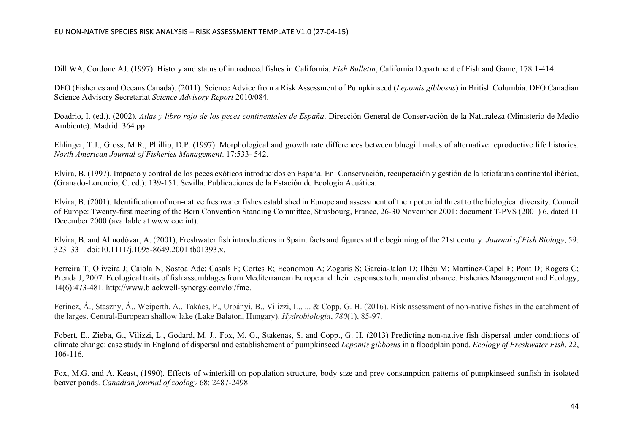Dill WA, Cordone AJ. (1997). History and status of introduced fishes in California. *Fish Bulletin*, California [Department](http://www.cabi.org/isc/abstract/20067205169) of Fish and Game, 178:1-414.

DFO (Fisheries and Oceans Canada). (2011). Science Advice from a Risk Assessment of Pumpkinseed (*Lepomis gibbosus*) in British Columbia. DFO Canadian Science Advisory Secretariat *Science Advisory Report* 2010/084.

Doadrio, I. (ed.). (2002). *Atlas y libro rojo de los peces continentales de España*. Dirección General de Conservación de la Naturaleza (Ministerio de Medio Ambiente). Madrid. 364 pp.

Ehlinger, T.J., Gross, M.R., Phillip, D.P. (1997). Morphological and growth rate differences between bluegill males of alternative reproductive life histories. *North American Journal of Fisheries Management*. 17:533- 542.

Elvira, B. (1997). Impacto y control de los peces exóticos introducidos en España. En: Conservación, recuperación y gestión de la ictiofauna continental ibérica, (Granado-Lorencio, C. ed.): 139-151. Sevilla. Publicaciones de la Estación de Ecología Acuática.

Elvira, B. (2001). Identification of non-native freshwater fishes established in Europe and assessment of their potential threat to the biological diversity. Council of Europe: Twenty-first meeting of the Bern Convention Standing Committee, Strasbourg, France, 26-30 November 2001: document T-PVS (2001) 6, dated 11 December 2000 (available at [www.coe.int](http://www.coe.int/)).

Elvira, B. and Almodóvar, A. (2001), Freshwater fish introductions in Spain: facts and figures at the beginning of the 21st century. *Journal of Fish Biology*, 59: 323–331. doi:10.1111/j.1095-8649.2001.tb01393.x.

Ferreira T; Oliveira J; Caiola N; Sostoa Ade; Casals F; Cortes R; Economou A; Zogaris S; [Garcia-Jalon](https://www.cabi.org/isc/abstract/20083001105) D; Ilhéu M; Martinez-Capel F; Pont D; Rogers C; Prenda J, 2007. Ecological traits of fish assemblages from [Mediterranean](https://www.cabi.org/isc/abstract/20083001105) Europe and their responses to human disturbance. Fisheries Management and Ecology, 14(6):473-481. [http://www.blackwell](https://www.cabi.org/isc/abstract/20083001105)-synergy.com/loi/fme.

Ferincz, Á., Staszny, Á., Weiperth, A., Takács, P., Urbányi, B., Vilizzi, L., ... & Copp, G. H. (2016). Risk assessment of non-native fishes in the catchment of the largest Central-European shallow lake (Lake Balaton, Hungary). *Hydrobiologia*, *780*(1), 85-97.

Fobert, E., Zieba, G., Vilizzi, L., Godard, M. J., Fox, M. G., Stakenas, S. and Copp., G. H. (2013) Predicting non-native fish dispersal under conditions of climate change: case study in England of dispersal and establishement of pumpkinseed *Lepomis gibbosus* in a floodplain pond. *Ecology of Freshwater Fish*. 22, 106-116.

Fox, M.G. and A. Keast, (1990). Effects of winterkill on population structure, body size and prey consumption patterns of pumpkinseed sunfish in isolated beaver ponds. *Canadian journal of zoology* 68: 2487-2498.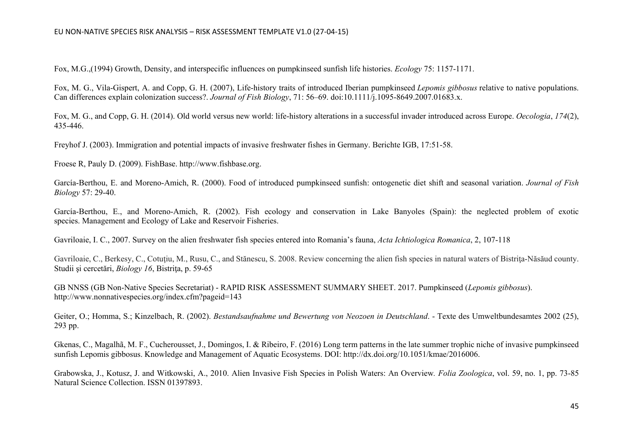Fox, M.G.,(1994) Growth, Density, and interspecific influences on pumpkinseed sunfish life histories. *Ecology* 75: 1157-1171.

Fox, M. G., Vila-Gispert, A. and Copp, G. H. (2007), Life-history traits of introduced Iberian pumpkinseed *Lepomis gibbosus* relative to native populations. Can differences explain colonization success?. *Journal of Fish Biology*, 71: 56–69. doi:10.1111/j.1095-8649.2007.01683.x.

Fox, M. G., and Copp, G. H. (2014). Old world versus new world: life-history alterations in a successful invader introduced across Europe. *Oecologia*, *174*(2), 435-446.

Freyhof J. (2003)[. Immigration and potential impacts of invasive freshwater fishes in Germany. Berichte](https://www.cabi.org/isc/abstract/20087205097) IGB, 17:51-58.

Froese R, Pauly D. (2009). FishBase. http://www.fishbase.org.

García-Berthou, E. and Moreno-Amich, R. (2000). Food of introduced pumpkinseed sunfish: ontogenetic diet shift and seasonal variation. *Journal of Fish Biology* 57: 29-40.

García-Berthou, E., and Moreno-Amich, R. (2002). Fish ecology and conservation in Lake Banyoles (Spain): the neglected problem of exotic species. Management and Ecology of Lake and Reservoir Fisheries.

Gavriloaie, I. C., 2007. Survey on the alien freshwater fish species entered into Romania's fauna, *Acta Ichtiologica Romanica*, 2, 107-118

Gavriloaie, C., Berkesy, C., Cotutiu, M., Rusu, C., and Stănescu, S. 2008. Review concerning the alien fish species in natural waters of Bistrita-Năsăud county. Studii şi cercetări, *Biology 16*, Bistriţa, p. 59-65

GB NNSS (GB Non-Native Species Secretariat) - RAPID RISK ASSESSMENT SUMMARY SHEET. 2017. Pumpkinseed (*Lepomis gibbosus*). <http://www.nonnativespecies.org/index.cfm?pageid=143>

Geiter, O.; Homma, S.; Kinzelbach, R. (2002). *Bestandsaufnahme und Bewertung von Neozoen in Deutschland*. - Texte des Umweltbundesamtes 2002 (25), 293 pp.

Gkenas, C., Magalhã, M. F., Cucherousset, J., Domingos, I. & Ribeiro, F. (2016) Long term patterns in the late summer trophic niche of invasive pumpkinseed sunfish Lepomis gibbosus. Knowledge and Management of Aquatic Ecosystems. DOI: http://dx.doi.org/10.1051/kmae/2016006.

Grabowska, J., Kotusz, J. and Witkowski, A., 2010. Alien Invasive Fish Species in Polish Waters: An Overview*. Folia Zoologica*, vol. 59, no. 1, pp. 73-85 Natural Science Collection. ISSN 01397893.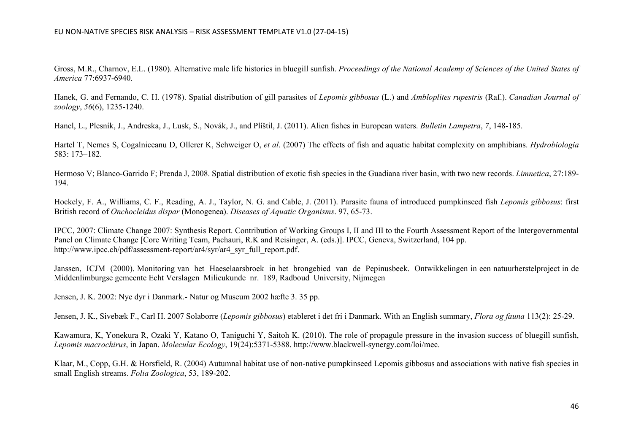Gross, M.R., Charnov, E.L. (1980). Alternative male life histories in bluegill sunfish. *Proceedings of the National Academy of Sciences of the United States of America* 77:6937-6940.

Hanek, G. and Fernando, C. H. (1978). Spatial distribution of gill parasites of *Lepomis gibbosus* (L.) and *Ambloplites rupestris* (Raf.). *Canadian Journal of zoology*, *56*(6), 1235-1240.

Hanel, L., Plesník, J., Andreska, J., Lusk, S., Novák, J., and Plíštil, J. (2011). Alien fishes in European waters. *Bulletin Lampetra*, *7*, 148-185.

Hartel T, Nemes S, Cogalniceanu D, Ollerer K, Schweiger O, *et al*. (2007) The effects of fish and aquatic habitat complexity on amphibians. *Hydrobiologia* 583: 173–182.

Hermoso V; [Blanco-Garrido](https://www.cabi.org/isc/abstract/20087205111) F; Prenda J, 2008. Spatial distribution of exotic fish species in the Guadiana river basin, with two new records. *Limnetica*, 27:189- [194.](https://www.cabi.org/isc/abstract/20087205111)

Hockely, F. A., Williams, C. F., Reading, A. J., Taylor, N. G. and Cable, J. (2011). Parasite fauna of introduced pumpkinseed fish *Lepomis gibbosus*: first British record of *Onchocleidus dispar* (Monogenea). *Diseases of Aquatic Organisms*. 97, 65-73.

IPCC, 2007: Climate Change 2007: Synthesis Report. Contribution of Working Groups I, II and III to the Fourth Assessment Report of the Intergovernmental Panel on Climate Change [Core Writing Team, Pachauri, R.K and Reisinger, A. (eds.)]. IPCC, Geneva, Switzerland, 104 pp. http://www.ipcc.ch/pdf/assessment-report/ar4/syr/ar4\_syr\_full\_report.pdf.

Janssen, ICJM (2000). Monitoring van het Haeselaarsbroek in het brongebied van de Pepinusbeek. Ontwikkelingen in een natuurherstelproject in de Middenlimburgse gemeente Echt Verslagen Milieukunde nr. 189, Radboud University, Nijmegen

Jensen, J. K. 2002: Nye dyr i Danmark.- Natur og Museum 2002 hæfte 3. 35 pp.

Jensen, J. K., Sivebæk F., Carl H. 2007 Solaborre (*Lepomis gibbosus*) etableret i det fri i Danmark. With an English summary, *Flora og fauna* 113(2): 25-29.

[Kawamura,](file:///C:%5CUsers%5Cat_sgcamai26%5CDesktop%5CAN%C3%81LISIS%20DE%20RIESGO%20EEI%5CRA%20G%C3%89NERO%20PECES%20UE%5CLEPOMIS%202018%5CKawamura,%20K,%20Yonekura%20R,%20Ozaki%20Y,%20Katano%20O,%20Taniguchi%20Y,%20Saitoh%20K.%20(2010).%20The%20role%20of%20propagule%20pressure%20in%20the%20invasion%20success%20of%20bluegill%20sunfish,%20Lepomis%20macrochirus,%20in%20Japan.%20Molecular%20Ecology,%2019(24):5371-5388.%20http:%5Cwww.blackwell-synergy.com%5Cloi%5Cmec) K, Yonekura R, Ozaki Y, Katano O, Taniguchi Y, Saitoh K. (2010). The role of propagule pressure in the invasion success of bluegill sunfish, *Lepomis macrochirus*, in Japan. *Molecular Ecology*, 19(24):5371-5388. [http://www.blackwell](file:///C:%5CUsers%5Cat_sgcamai26%5CDesktop%5CAN%C3%81LISIS%20DE%20RIESGO%20EEI%5CRA%20G%C3%89NERO%20PECES%20UE%5CLEPOMIS%202018%5CKawamura,%20K,%20Yonekura%20R,%20Ozaki%20Y,%20Katano%20O,%20Taniguchi%20Y,%20Saitoh%20K.%20(2010).%20The%20role%20of%20propagule%20pressure%20in%20the%20invasion%20success%20of%20bluegill%20sunfish,%20Lepomis%20macrochirus,%20in%20Japan.%20Molecular%20Ecology,%2019(24):5371-5388.%20http:%5Cwww.blackwell-synergy.com%5Cloi%5Cmec)-synergy.com/loi/mec.

Klaar, M., Copp, G.H. & Horsfield, R. (2004) Autumnal habitat use of non-native pumpkinseed Lepomis gibbosus and associations with native fish species in small English streams. *Folia Zoologica*, 53, 189-202.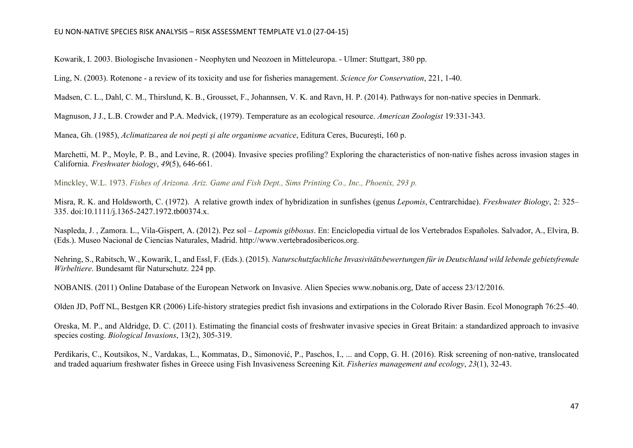Kowarik, I. 2003. Biologische Invasionen - Neophyten und Neozoen in Mitteleuropa. - Ulmer: Stuttgart, 380 pp.

Ling, N. (2003). Rotenone - a review of its toxicity and use for fisheries management. *Science for Conservation*, 221, 1-40.

Madsen, C. L., Dahl, C. M., Thirslund, K. B., Grousset, F., Johannsen, V. K. and Ravn, H. P. (2014). Pathways for non-native species in Denmark.

Magnuson, J J., L.B. Crowder and P.A. Medvick, (1979). Temperature as an ecological resource. *American Zoologist* 19:331-343.

Manea, Gh. (1985), *Aclimatizarea de noi peşti şi alte organisme acvatice*, Editura Ceres, Bucureşti, 160 p.

Marchetti, M. P., Moyle, P. B., and Levine, R. (2004). Invasive species profiling? Exploring the characteristics of non-native fishes across invasion stages in California. *Freshwater biology*, *49*(5), 646-661.

Minckley, W.L. 1973. *Fishes of Arizona. Ariz. Game and Fish Dept., Sims Printing Co., Inc., Phoenix, 293 p.*

Misra, R. K. and Holdsworth, C. (1972). A relative growth index of hybridization in sunfishes (genus *Lepomis*, Centrarchidae). *Freshwater Biology*, 2: 325– 335. doi:10.1111/j.1365-2427.1972.tb00374.x.

Naspleda, J. , Zamora. L., Vila-Gispert, A. (2012). Pez sol *– Lepomis gibbosus*. En: Enciclopedia virtual de los Vertebrados Españoles. Salvador, A., Elvira, B. (Eds.). Museo Nacional de Ciencias Naturales, Madrid. [http://www.vertebradosibericos.org.](http://www.vertebradosibericos.org/)

Nehring, S., Rabitsch, W., Kowarik, I., and Essl, F. (Eds.). (2015). *Naturschutzfachliche Invasivitätsbewertungen für in Deutschland wild lebende gebietsfremde Wirbeltiere*. Bundesamt für Naturschutz. 224 pp.

NOBANIS. (2011) Online Database of the European Network on Invasive. Alien Species www.nobanis.org, Date of access 23/12/2016.

Olden JD, Poff NL, Bestgen KR (2006) Life-history strategies predict fish invasions and extirpations in the Colorado River Basin. Ecol Monograph 76:25–40.

Oreska, M. P., and Aldridge, D. C. (2011). Estimating the financial costs of freshwater invasive species in Great Britain: a standardized approach to invasive species costing. *Biological Invasions*, 13(2), 305-319.

Perdikaris, C., Koutsikos, N., Vardakas, L., Kommatas, D., Simonović, P., Paschos, I., ... and Copp, G. H. (2016). Risk screening of non‐native, translocated and traded aquarium freshwater fishes in Greece using Fish Invasiveness Screening Kit. *Fisheries management and ecology*, *23*(1), 32-43.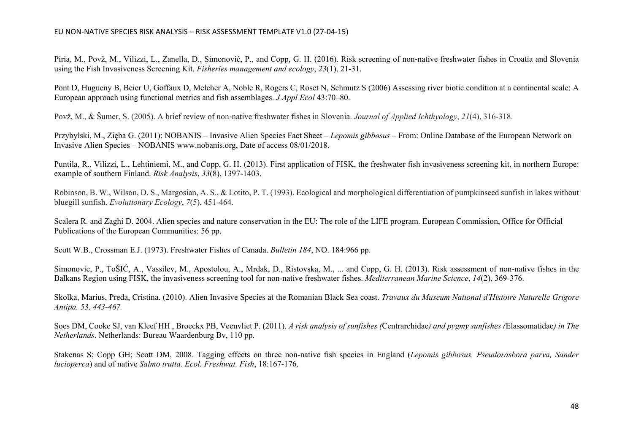Piria, M., Povž, M., Vilizzi, L., Zanella, D., Simonović, P., and Copp, G. H. (2016). Risk screening of non-native freshwater fishes in Croatia and Slovenia using the Fish Invasiveness Screening Kit. *Fisheries management and ecology*, *23*(1), 21-31.

Pont D, Hugueny B, Beier U, Goffaux D, Melcher A, Noble R, Rogers C, Roset N, Schmutz S (2006) Assessing river biotic condition at a continental scale: A European approach using functional metrics and fish assemblages. *J Appl Ecol* 43:70–80.

Povž, M., & Šumer, S. (2005). A brief review of non‐native freshwater fishes in Slovenia. *Journal of Applied Ichthyology*, *21*(4), 316-318.

Przybylski, M., Zięba G. (2011): NOBANIS – Invasive Alien Species Fact Sheet – *Lepomis gibbosus* – From: Online Database of the European Network on Invasive Alien Species – NOBANIS www.nobanis.org, Date of access 08/01/2018.

Puntila, R., Vilizzi, L., Lehtiniemi, M., and Copp, G. H. (2013). First application of FISK, the freshwater fish invasiveness screening kit, in northern Europe: example of southern Finland. *Risk Analysis*, *33*(8), 1397-1403.

Robinson, B. W., Wilson, D. S., Margosian, A. S., & Lotito, P. T. (1993). Ecological and morphological differentiation of pumpkinseed sunfish in lakes without bluegill sunfish. *Evolutionary Ecology*, *7*(5), 451-464.

Scalera R. and Zaghi D. 2004. Alien species and nature conservation in the EU: The role of the LIFE program. European Commission, Office for Official Publications of the European Communities: 56 pp.

Scott W.B., Crossman E.J. (1973). Freshwater Fishes of Canada. *Bulletin 184*, NO. 184:966 pp.

Simonovic, P., ToŠIĆ, A., Vassilev, M., Apostolou, A., Mrdak, D., Ristovska, M., ... and Copp, G. H. (2013). Risk assessment of non-native fishes in the Balkans Region using FISK, the invasiveness screening tool for non-native freshwater fishes. *Mediterranean Marine Science*, *14*(2), 369-376.

Skolka, Marius, Preda, Cristina. (2010). Alien Invasive Species at the Romanian Black Sea coast. *Travaux du Museum National d'Histoire Naturelle Grigore Antipa. 53, 443-467.*

Soes DM, Cooke SJ, van Kleef HH , Broeckx PB, Veenvliet P. (2011). *A risk analysis of sunfishes (*Centrarchidae*) and pygmy sunfishes (*Elassomatidae*) in The Netherlands*. Netherlands: Bureau Waardenburg Bv, 110 pp.

Stake[nas S; Copp GH; Scott DM, 2008. Tagging effects on](https://www.cabi.org/isc/abstract/20087205153) three non-native fish species in England (*Lepomis gibbosus, Pseudorasbora parva, Sander lucioperca*) and of native *[Salmo trutta. Ecol. Freshwat. Fish](https://www.cabi.org/isc/abstract/20087205153)*, 18:167-176.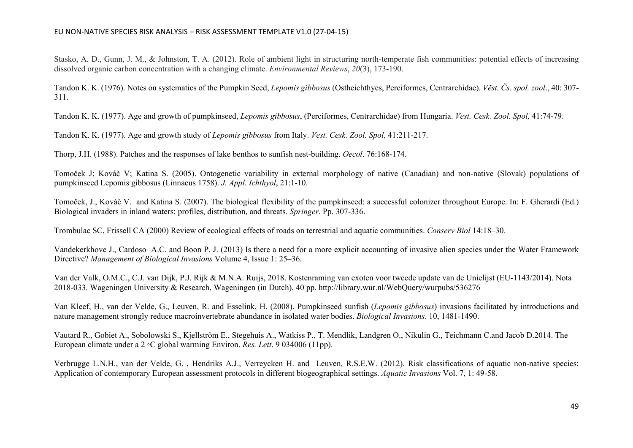Stasko, A. D., Gunn, J. M., & Johnston, T. A. (2012). Role of ambient light in structuring north-temperate fish communities: potential effects of increasing dissolved organic carbon concentration with a changing climate. *Environmental Reviews*, *20*(3), 173-190.

Tandon K. K. (1976). Notes on systematics of the Pumpkin Seed, *Lepomis gibbosus* (Ostheichthyes, Perciformes, Centrarchidae). *Vĕst. Čs. spol. zool*., 40: 307- 311.

[Tandon K. K. \(1977\). Age and growth of pumpkinseed,](https://www.cabi.org/isc/abstract/20087205157) *Lepomis gibbosus*, (Perciformes, Centrarchidae) from Hungaria. *Vest. Cesk. Zool. Spol,* 41:74-79.

[Tandon K. K. \(1977\). Age and growth study of](https://www.cabi.org/isc/abstract/20087205158) *Lepomis gibbosus* from Italy. *Vest. Cesk. Zool. Spol*, 41:211-217.

Thorp, J.H. (1988). Patches and the responses of lake benthos to sunfish nest-building. *Oecol*. 76:168-174.

Tomoček J; Kováč V; Katina S. (2005). Ontogenetic variability in external [morphology](https://www.cabi.org/isc/abstract/20087205160) of native (Canadian) and non-native (Slovak) populations of [pumpkinseed](https://www.cabi.org/isc/abstract/20087205160) Lepomis gibbosus (Linnaeus 1758). *J. Appl. Ichthyol*, 21:1-10.

Tomoček, J., Kováč V. and Katina S. (2007). The biological flexibility of the pumpkinseed: a successful colonizer throughout Europe. In: F. Gherardi (Ed.) Biological invaders in inland waters: profiles, distribution, and threats. *Springer*. Pp. 307-336.

Trombulac SC, Frissell CA (2000) Review of ecological effects of roads on terrestrial and aquatic communities. *Conserv Biol* 14:18–30.

Vandekerkhove J., Cardoso A.C. and Boon P. J. (2013) Is there a need for a more explicit accounting of invasive alien species under the Water Framework Directive? *Management of Biological Invasions* Volume 4, Issue 1: 25–36.

Van der Valk, O.M.C., C.J. van Dijk, P.J. Rijk & M.N.A. Ruijs, 2018. Kostenraming van exoten voor tweede update van de Unielijst (EU-1143/2014). Nota 2018-033. Wageningen University & Research, Wageningen (in Dutch), 40 pp.<http://library.wur.nl/WebQuery/wurpubs/536276>

Van Kleef, H., van der Velde, G., Leuven, R. and Esselink, H. (2008). Pumpkinseed sunfish (*Lepomis gibbosus*) invasions facilitated by introductions and nature management strongly reduce macroinvertebrate abundance in isolated water bodies. *Biological Invasions*. 10, 1481-1490.

Vautard R., Gobiet A., Sobolowski S., Kjellström E., Stegehuis A., Watkiss P., T. Mendlik, Landgren O., Nikulin G., Teichmann C.and Jacob D.2014. The European climate under a 2 ◦C global warming Environ. *Res. Lett*. 9 034006 (11pp).

Verbrugge L.N.H., van der Velde, G. , Hendriks A.J., Verreycken H. and Leuven, R.S.E.W. (2012). Risk classifications of aquatic non-native species: Application of contemporary European assessment protocols in different biogeographical settings. *Aquatic Invasions* Vol. 7, 1: 49-58.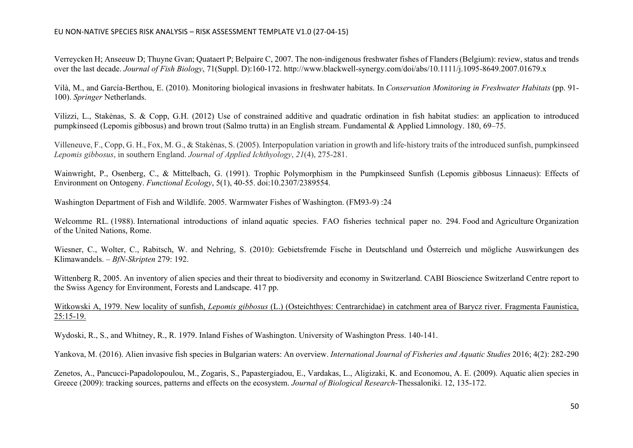[Verreycken H; Anseeuw D; Thuyne Gvan; Quataert P; Belpaire C, 2007. The non](https://www.cabi.org/isc/abstract/20083026088)-indigenous freshwater fishes of Flanders (Belgium): review, status and trends over the last decade. *Journal of Fish Biology*, 71(Suppl. D):160-172. http://www.blackwell-[synergy.com/doi/abs/10.1111/j.1095](https://www.cabi.org/isc/abstract/20083026088)-8649.2007.01679.x

Vilà, M., and García-Berthou, E. (2010). Monitoring biological invasions in freshwater habitats. In *Conservation Monitoring in Freshwater Habitats* (pp. 91- 100). *Springer* Netherlands.

Vilizzi, L., Stakėnas, S. & Copp, G.H. (2012) Use of constrained additive and quadratic ordination in fish habitat studies: an application to introduced pumpkinseed (Lepomis gibbosus) and brown trout (Salmo trutta) in an English stream. Fundamental & Applied Limnology. 180, 69–75.

Villeneuve, F., Copp, G. H., Fox, M. G., & Stakėnas, S. (2005). Interpopulation variation in growth and life‐history traits of the introduced sunfish, pumpkinseed *Lepomis gibbosus*, in southern England. *Journal of Applied Ichthyology*, *21*(4), 275-281.

Wainwright, P., Osenberg, C., & Mittelbach, G. (1991). Trophic Polymorphism in the Pumpkinseed Sunfish (Lepomis gibbosus Linnaeus): Effects of Environment on Ontogeny. *Functional Ecology*, 5(1), 40-55. doi:10.2307/2389554.

Washington Department of Fish and Wildlife. 2005. Warmwater Fishes of Washington. (FM93-9) :24

Welcomme RL. (1988). International introductions of inland aquatic species. FAO fisheries technical paper no. 294. Food and Agriculture Organization of the United Nations, Rome.

Wiesner, C., Wolter, C., Rabitsch, W. and Nehring, S. (2010): Gebietsfremde Fische in Deutschland und Österreich und mögliche Auswirkungen des Klimawandels. – *BfN-Skripten* 279: 192.

Wittenberg R, 2005. An inventory of alien species and their threat to biodiversity and economy in Switzerland. CABI Bioscience Switzerland Centre report to [the Swiss Agency for Environment, Forests and Landscape. 417 pp.](https://www.cabi.org/isc/abstract/20087205168)

Witkowski A, 1979. New locality of sunfish, *Lepomis gibbosus* (L.) (Osteichthyes: [Centrarchidae\)](https://www.cabi.org/isc/abstract/20087205167) in catchment area of Barycz river. Fragmenta Faunistica, [25:15-](https://www.cabi.org/isc/abstract/20087205167)19.

Wydoski, R., S., and Whitney, R., R. 1979. Inland Fishes of Washington. University of Washington Press. 140-141.

Yankova, M. (2016). Alien invasive fish species in Bulgarian waters: An overview. *International Journal of Fisheries and Aquatic Studies* 2016; 4(2): 282-290

Zenetos, A., Pancucci-Papadolopoulou, M., Zogaris, S., Papastergiadou, E., Vardakas, L., Aligizaki, K. and Economou, A. E. (2009). Aquatic alien species in Greece (2009): tracking sources, patterns and effects on the ecosystem. *Journal of Biological Research*-Thessaloniki. 12, 135-172.